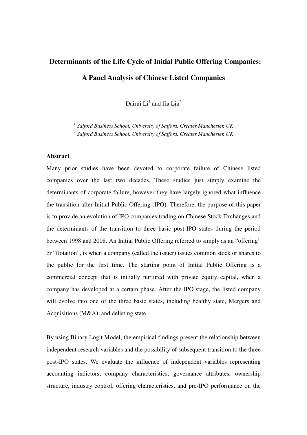# **Determinants of the Life Cycle of Initial Public Offering Companies: A Panel Analysis of Chinese Listed Companies**

Dairui  $Li^1$  and Jia  $Li^2$ 

<sup>1</sup> Salford Business School, University of Salford, Greater Manchester, UK *2 Salford Business School, University of Salford, Greater Manchester, UK*

# **Abstract**

Many prior studies have been devoted to corporate failure of Chinese listed companies over the last two decades. These studies just simply examine the determinants of corporate failure, however they have largely ignored what influence the transition after Initial Public Offering (IPO). Therefore, the purpose of this paper is to provide an evolution of IPO companies trading on Chinese Stock Exchanges and the determinants of the transition to three basic post-IPO states during the period between 1998 and 2008. An Initial Public Offering referred to simply as an "offering" or "flotation", is when a company (called the issuer) issues common stock or shares to the public for the first time. The starting point of Initial Public Offering is a commercial concept that is initially nurtured with private equity capital, when a company has developed at a certain phase. After the IPO stage, the listed company will evolve into one of the three basic states, including healthy state, Mergers and Acquisitions (M&A), and delisting state.

By using Binary Logit Model, the empirical findings present the relationship between independent research variables and the possibility of subsequent transition to the three post-IPO states. We evaluate the influence of independent variables representing accounting indictors, company characteristics, governance attributes, ownership structure, industry control, offering characteristics, and pre-IPO performance on the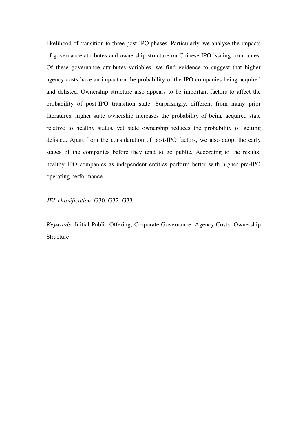likelihood of transition to three post-IPO phases. Particularly, we analyse the impacts of governance attributes and ownership structure on Chinese IPO issuing companies. Of these governance attributes variables, we find evidence to suggest that higher agency costs have an impact on the probability of the IPO companies being acquired and delisted. Ownership structure also appears to be important factors to affect the probability of post-IPO transition state. Surprisingly, different from many prior literatures, higher state ownership increases the probability of being acquired state relative to healthy status, yet state ownership reduces the probability of getting delisted. Apart from the consideration of post-IPO factors, we also adopt the early stages of the companies before they tend to go public. According to the results, healthy IPO companies as independent entities perform better with higher pre-IPO operating performance.

# *JEL classification*: G30; G32; G33

*Keywords*: Initial Public Offering; Corporate Governance; Agency Costs; Ownership Structure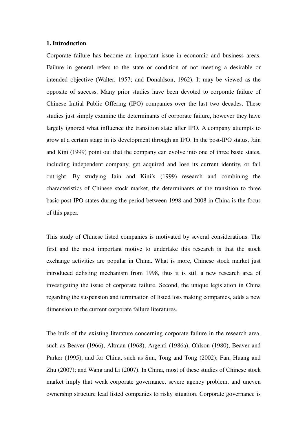#### **1. Introduction**

Corporate failure has become an important issue in economic and business areas. Failure in general refers to the state or condition of not meeting a desirable or intended objective (Walter, 1957; and Donaldson, 1962). It may be viewed as the opposite of success. Many prior studies have been devoted to corporate failure of Chinese Initial Public Offering (IPO) companies over the last two decades. These studies just simply examine the determinants of corporate failure, however they have largely ignored what influence the transition state after IPO. A company attempts to grow at a certain stage in its development through an IPO. In the post-IPO status, Jain and Kini (1999) point out that the company can evolve into one of three basic states, including independent company, get acquired and lose its current identity, or fail outright. By studying Jain and Kini's (1999) research and combining the characteristics of Chinese stock market, the determinants of the transition to three basic post-IPO states during the period between 1998 and 2008 in China is the focus of this paper.

This study of Chinese listed companies is motivated by several considerations. The first and the most important motive to undertake this research is that the stock exchange activities are popular in China. What is more, Chinese stock market just introduced delisting mechanism from 1998, thus it is still a new research area of investigating the issue of corporate failure. Second, the unique legislation in China regarding the suspension and termination of listed loss making companies, adds a new dimension to the current corporate failure literatures.

The bulk of the existing literature concerning corporate failure in the research area, such as Beaver (1966), Altman (1968), Argenti (1986a), Ohlson (1980), Beaver and Parker (1995), and for China, such as Sun, Tong and Tong (2002); Fan, Huang and Zhu (2007); and Wang and Li (2007). In China, most of these studies of Chinese stock market imply that weak corporate governance, severe agency problem, and uneven ownership structure lead listed companies to risky situation. Corporate governance is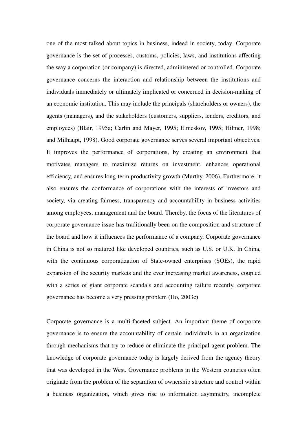one of the most talked about topics in business, indeed in society, today. Corporate governance is the set of processes, customs, policies, laws, and institutions affecting the way a corporation (or company) is directed, administered or controlled. Corporate governance concerns the interaction and relationship between the institutions and individuals immediately or ultimately implicated or concerned in decision-making of an economic institution. This may include the principals (shareholders or owners), the agents (managers), and the stakeholders (customers, suppliers, lenders, creditors, and employees) (Blair, 1995a; Carlin and Mayer, 1995; Elmeskov, 1995; Hilmer, 1998; and Milhaupt, 1998). Good corporate governance serves several important objectives. It improves the performance of corporations, by creating an environment that motivates managers to maximize returns on investment, enhances operational efficiency, and ensures long-term productivity growth (Murthy, 2006). Furthermore, it also ensures the conformance of corporations with the interests of investors and society, via creating fairness, transparency and accountability in business activities among employees, management and the board. Thereby, the focus of the literatures of corporate governance issue has traditionally been on the composition and structure of the board and how it influences the performance of a company. Corporate governance in China is not so matured like developed countries, such as U.S. or U.K. In China, with the continuous corporatization of State-owned enterprises (SOEs), the rapid expansion of the security markets and the ever increasing market awareness, coupled with a series of giant corporate scandals and accounting failure recently, corporate governance has become a very pressing problem (Ho, 2003c).

Corporate governance is a multi-faceted subject. An important theme of corporate governance is to ensure the accountability of certain individuals in an organization through mechanisms that try to reduce or eliminate the principal-agent problem. The knowledge of corporate governance today is largely derived from the agency theory that was developed in the West. Governance problems in the Western countries often originate from the problem of the separation of ownership structure and control within a business organization, which gives rise to information asymmetry, incomplete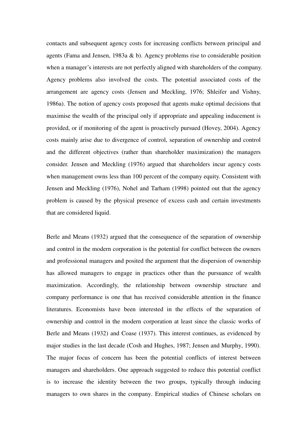contacts and subsequent agency costs for increasing conflicts between principal and agents (Fama and Jensen, 1983a & b). Agency problems rise to considerable position when a manager's interests are not perfectly aligned with shareholders of the company. Agency problems also involved the costs. The potential associated costs of the arrangement are agency costs (Jensen and Meckling, 1976; Shleifer and Vishny, 1986a). The notion of agency costs proposed that agents make optimal decisions that maximise the wealth of the principal only if appropriate and appealing inducement is provided, or if monitoring of the agent is proactively pursued (Hovey, 2004). Agency costs mainly arise due to divergence of control, separation of ownership and control and the different objectives (rather than shareholder maximization) the managers consider. Jensen and Meckling (1976) argued that shareholders incur agency costs when management owns less than 100 percent of the company equity. Consistent with Jensen and Meckling (1976), Nohel and Tarham (1998) pointed out that the agency problem is caused by the physical presence of excess cash and certain investments that are considered liquid.

Berle and Means (1932) argued that the consequence of the separation of ownership and control in the modern corporation is the potential for conflict between the owners and professional managers and posited the argument that the dispersion of ownership has allowed managers to engage in practices other than the pursuance of wealth maximization. Accordingly, the relationship between ownership structure and company performance is one that has received considerable attention in the finance literatures. Economists have been interested in the effects of the separation of ownership and control in the modern corporation at least since the classic works of Berle and Means (1932) and Coase (1937). This interest continues, as evidenced by major studies in the last decade (Cosh and Hughes, 1987; Jensen and Murphy, 1990). The major focus of concern has been the potential conflicts of interest between managers and shareholders. One approach suggested to reduce this potential conflict is to increase the identity between the two groups, typically through inducing managers to own shares in the company. Empirical studies of Chinese scholars on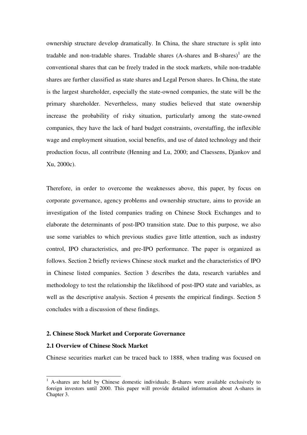ownership structure develop dramatically. In China, the share structure is split into tradable and non-tradable shares. Tradable shares  $(A\text{-}shares \text{ and } B\text{-}shares)^1$  are the conventional shares that can be freely traded in the stock markets, while non-tradable shares are further classified as state shares and Legal Person shares. In China, the state is the largest shareholder, especially the state-owned companies, the state will be the primary shareholder. Nevertheless, many studies believed that state ownership increase the probability of risky situation, particularly among the state-owned companies, they have the lack of hard budget constraints, overstaffing, the inflexible wage and employment situation, social benefits, and use of dated technology and their production focus, all contribute (Henning and Lu, 2000; and Claessens, Djankov and Xu, 2000c).

Therefore, in order to overcome the weaknesses above, this paper, by focus on corporate governance, agency problems and ownership structure, aims to provide an investigation of the listed companies trading on Chinese Stock Exchanges and to elaborate the determinants of post-IPO transition state. Due to this purpose, we also use some variables to which previous studies gave little attention, such as industry control, IPO characteristics, and pre-IPO performance. The paper is organized as follows. Section 2 briefly reviews Chinese stock market and the characteristics of IPO in Chinese listed companies. Section 3 describes the data, research variables and methodology to test the relationship the likelihood of post-IPO state and variables, as well as the descriptive analysis. Section 4 presents the empirical findings. Section 5 concludes with a discussion of these findings.

## **2. Chinese Stock Market and Corporate Governance**

# **2.1 Overview of Chinese Stock Market**

 $\ddot{ }$ 

Chinese securities market can be traced back to 1888, when trading was focused on

<sup>1</sup> A-shares are held by Chinese domestic individuals; B-shares were available exclusively to foreign investors until 2000. This paper will provide detailed information about A-shares in Chapter 3.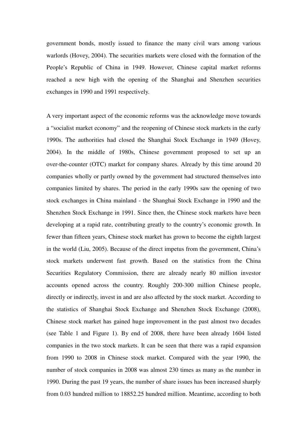government bonds, mostly issued to finance the many civil wars among various warlords (Hovey, 2004). The securities markets were closed with the formation of the People's Republic of China in 1949. However, Chinese capital market reforms reached a new high with the opening of the Shanghai and Shenzhen securities exchanges in 1990 and 1991 respectively.

A very important aspect of the economic reforms was the acknowledge move towards a "socialist market economy" and the reopening of Chinese stock markets in the early 1990s. The authorities had closed the Shanghai Stock Exchange in 1949 (Hovey, 2004). In the middle of 1980s, Chinese government proposed to set up an over-the-counter (OTC) market for company shares. Already by this time around 20 companies wholly or partly owned by the government had structured themselves into companies limited by shares. The period in the early 1990s saw the opening of two stock exchanges in China mainland - the Shanghai Stock Exchange in 1990 and the Shenzhen Stock Exchange in 1991. Since then, the Chinese stock markets have been developing at a rapid rate, contributing greatly to the country's economic growth. In fewer than fifteen years, Chinese stock market has grown to become the eighth largest in the world (Liu, 2005). Because of the direct impetus from the government, China's stock markets underwent fast growth. Based on the statistics from the China Securities Regulatory Commission, there are already nearly 80 million investor accounts opened across the country. Roughly 200-300 million Chinese people, directly or indirectly, invest in and are also affected by the stock market. According to the statistics of Shanghai Stock Exchange and Shenzhen Stock Exchange (2008), Chinese stock market has gained huge improvement in the past almost two decades (see Table 1 and Figure 1). By end of 2008, there have been already 1604 listed companies in the two stock markets. It can be seen that there was a rapid expansion from 1990 to 2008 in Chinese stock market. Compared with the year 1990, the number of stock companies in 2008 was almost 230 times as many as the number in 1990. During the past 19 years, the number of share issues has been increased sharply from 0.03 hundred million to 18852.25 hundred million. Meantime, according to both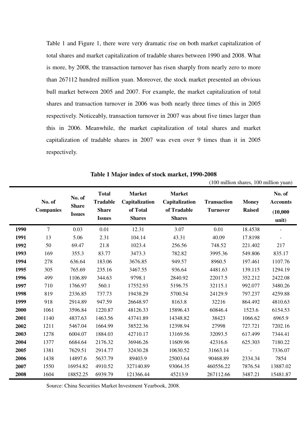Table 1 and Figure 1, there were very dramatic rise on both market capitalization of total shares and market capitalization of tradable shares between 1990 and 2008. What is more, by 2008, the transaction turnover has risen sharply from nearly zero to more than 267112 hundred million yuan. Moreover, the stock market presented an obvious bull market between 2005 and 2007. For example, the market capitalization of total shares and transaction turnover in 2006 was both nearly three times of this in 2005 respectively. Noticeably, transaction turnover in 2007 was about five times larger than this in 2006. Meanwhile, the market capitalization of total shares and market capitalization of tradable shares in 2007 was even over 9 times than it in 2005 respectively.

**Table 1 Major index of stock market, 1990-2008** 

|      |                            |                                         |                                                                  |                                                              |                                                                 | (100 million shares, 100 million yuan) |                               |                                                |  |
|------|----------------------------|-----------------------------------------|------------------------------------------------------------------|--------------------------------------------------------------|-----------------------------------------------------------------|----------------------------------------|-------------------------------|------------------------------------------------|--|
|      | No. of<br><b>Companies</b> | No. of<br><b>Share</b><br><b>Issues</b> | <b>Total</b><br><b>Tradable</b><br><b>Share</b><br><b>Issues</b> | <b>Market</b><br>Capitalization<br>of Total<br><b>Shares</b> | <b>Market</b><br>Capitalization<br>of Tradable<br><b>Shares</b> | <b>Transaction</b><br><b>Turnover</b>  | <b>Money</b><br><b>Raised</b> | No. of<br><b>Accounts</b><br>(10,000)<br>unit) |  |
| 1990 | 7                          | 0.03                                    | 0.01                                                             | 12.31                                                        | 3.07                                                            | 0.01                                   | 18.4538                       | $\overline{\phantom{a}}$                       |  |
| 1991 | 13                         | 5.06                                    | 2.31                                                             | 104.14                                                       | 43.31                                                           | 40.09                                  | 17.8198                       |                                                |  |
| 1992 | 50                         | 69.47                                   | 21.8                                                             | 1023.4                                                       | 256.56                                                          | 748.52                                 | 221.402                       | 217                                            |  |
| 1993 | 169                        | 355.3                                   | 83.77                                                            | 3473.3                                                       | 782.82                                                          | 3995.36                                | 549.806                       | 835.17                                         |  |
| 1994 | 278                        | 636.64                                  | 183.06                                                           | 3676.85                                                      | 949.57                                                          | 8960.5                                 | 197.461                       | 1107.76                                        |  |
| 1995 | 305                        | 765.69                                  | 235.16                                                           | 3467.55                                                      | 936.64                                                          | 4481.63                                | 139.115                       | 1294.19                                        |  |
| 1996 | 499                        | 1106.89                                 | 344.63                                                           | 9798.1                                                       | 2840.92                                                         | 22017.5                                | 352.212                       | 2422.08                                        |  |
| 1997 | 710                        | 1766.97                                 | 560.1                                                            | 17552.93                                                     | 5196.75                                                         | 32115.1                                | 992.077                       | 3480.26                                        |  |
| 1998 | 819                        | 2336.85                                 | 737.73                                                           | 19438.29                                                     | 5700.54                                                         | 24129.9                                | 797.237                       | 4259.88                                        |  |
| 1999 | 918                        | 2914.89                                 | 947.59                                                           | 26648.97                                                     | 8163.8                                                          | 32216                                  | 864.492                       | 4810.63                                        |  |
| 2000 | 1061                       | 3596.84                                 | 1220.87                                                          | 48126.33                                                     | 15896.43                                                        | 60846.4                                | 1523.6                        | 6154.53                                        |  |
| 2001 | 1140                       | 4837.63                                 | 1463.56                                                          | 43741.89                                                     | 14348.82                                                        | 38423                                  | 1066.62                       | 6965.9                                         |  |
| 2002 | 1211                       | 5467.04                                 | 1664.99                                                          | 38522.36                                                     | 12398.94                                                        | 27998                                  | 727.721                       | 7202.16                                        |  |
| 2003 | 1278                       | 6004.07                                 | 1884.03                                                          | 42710.17                                                     | 13169.56                                                        | 32093.5                                | 617.499                       | 7344.41                                        |  |
| 2004 | 1377                       | 6684.64                                 | 2176.32                                                          | 36946.26                                                     | 11609.96                                                        | 42316.6                                | 625.303                       | 7180.22                                        |  |
| 2005 | 1381                       | 7629.51                                 | 2914.77                                                          | 32430.28                                                     | 10630.52                                                        | 31663.14                               |                               | 7336.07                                        |  |
| 2006 | 1438                       | 14897.6                                 | 5637.79                                                          | 89403.9                                                      | 25003.64                                                        | 90468.89                               | 2334.34                       | 7854                                           |  |
| 2007 | 1550                       | 16954.82                                | 4910.52                                                          | 327140.89                                                    | 93064.35                                                        | 460556.22                              | 7876.54                       | 13887.02                                       |  |
| 2008 | 1604                       | 18852.25                                | 6939.79                                                          | 121366.44                                                    | 45213.9                                                         | 267112.66                              | 3487.21                       | 15481.87                                       |  |

Source: China Securities Market Investment Yearbook, 2008.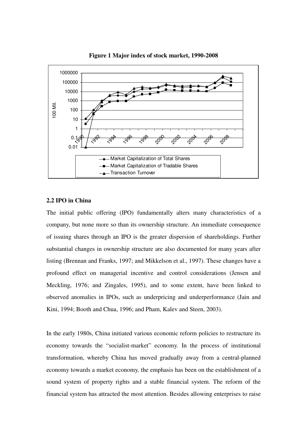

**Figure 1 Major index of stock market, 1990-2008** 

# **2.2 IPO in China**

The initial public offering (IPO) fundamentally alters many characteristics of a company, but none more so than its ownership structure. An immediate consequence of issuing shares through an IPO is the greater dispersion of shareholdings. Further substantial changes in ownership structure are also documented for many years after listing (Brennan and Franks, 1997; and Mikkelson et al., 1997). These changes have a profound effect on managerial incentive and control considerations (Jensen and Meckling, 1976; and Zingales, 1995), and to some extent, have been linked to observed anomalies in IPOs, such as underpricing and underperformance (Jain and Kini, 1994; Booth and Chua, 1996; and Pham, Kalev and Steen, 2003).

In the early 1980s, China initiated various economic reform policies to restructure its economy towards the "socialist-market" economy. In the process of institutional transformation, whereby China has moved gradually away from a central-planned economy towards a market economy, the emphasis has been on the establishment of a sound system of property rights and a stable financial system. The reform of the financial system has attracted the most attention. Besides allowing enterprises to raise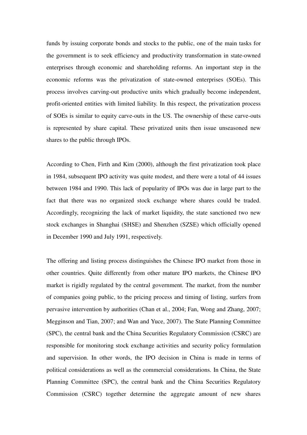funds by issuing corporate bonds and stocks to the public, one of the main tasks for the government is to seek efficiency and productivity transformation in state-owned enterprises through economic and shareholding reforms. An important step in the economic reforms was the privatization of state-owned enterprises (SOEs). This process involves carving-out productive units which gradually become independent, profit-oriented entities with limited liability. In this respect, the privatization process of SOEs is similar to equity carve-outs in the US. The ownership of these carve-outs is represented by share capital. These privatized units then issue unseasoned new shares to the public through IPOs.

According to Chen, Firth and Kim (2000), although the first privatization took place in 1984, subsequent IPO activity was quite modest, and there were a total of 44 issues between 1984 and 1990. This lack of popularity of IPOs was due in large part to the fact that there was no organized stock exchange where shares could be traded. Accordingly, recognizing the lack of market liquidity, the state sanctioned two new stock exchanges in Shanghai (SHSE) and Shenzhen (SZSE) which officially opened in December 1990 and July 1991, respectively.

The offering and listing process distinguishes the Chinese IPO market from those in other countries. Quite differently from other mature IPO markets, the Chinese IPO market is rigidly regulated by the central government. The market, from the number of companies going public, to the pricing process and timing of listing, surfers from pervasive intervention by authorities (Chan et al., 2004; Fan, Wong and Zhang, 2007; Megginson and Tian, 2007; and Wan and Yuce, 2007). The State Planning Committee (SPC), the central bank and the China Securities Regulatory Commission (CSRC) are responsible for monitoring stock exchange activities and security policy formulation and supervision. In other words, the IPO decision in China is made in terms of political considerations as well as the commercial considerations. In China, the State Planning Committee (SPC), the central bank and the China Securities Regulatory Commission (CSRC) together determine the aggregate amount of new shares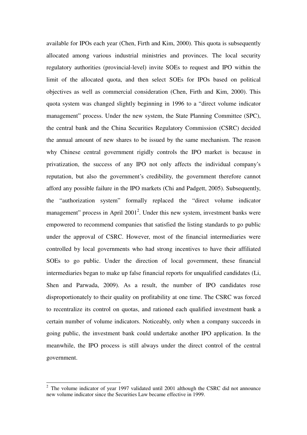available for IPOs each year (Chen, Firth and Kim, 2000). This quota is subsequently allocated among various industrial ministries and provinces. The local security regulatory authorities (provincial-level) invite SOEs to request and IPO within the limit of the allocated quota, and then select SOEs for IPOs based on political objectives as well as commercial consideration (Chen, Firth and Kim, 2000). This quota system was changed slightly beginning in 1996 to a "direct volume indicator management" process. Under the new system, the State Planning Committee (SPC), the central bank and the China Securities Regulatory Commission (CSRC) decided the annual amount of new shares to be issued by the same mechanism. The reason why Chinese central government rigidly controls the IPO market is because in privatization, the success of any IPO not only affects the individual company's reputation, but also the government's credibility, the government therefore cannot afford any possible failure in the IPO markets (Chi and Padgett, 2005). Subsequently, the "authorization system" formally replaced the "direct volume indicator management" process in April  $2001<sup>2</sup>$ . Under this new system, investment banks were empowered to recommend companies that satisfied the listing standards to go public under the approval of CSRC. However, most of the financial intermediaries were controlled by local governments who had strong incentives to have their affiliated SOEs to go public. Under the direction of local government, these financial intermediaries began to make up false financial reports for unqualified candidates (Li, Shen and Parwada, 2009). As a result, the number of IPO candidates rose disproportionately to their quality on profitability at one time. The CSRC was forced to recentralize its control on quotas, and rationed each qualified investment bank a certain number of volume indicators. Noticeably, only when a company succeeds in going public, the investment bank could undertake another IPO application. In the meanwhile, the IPO process is still always under the direct control of the central government.

<sup>&</sup>lt;sup>2</sup> The volume indicator of year 1997 validated until 2001 although the CSRC did not announce new volume indicator since the Securities Law became effective in 1999.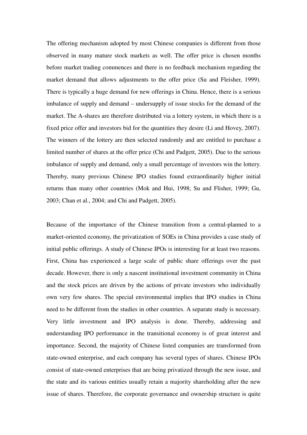The offering mechanism adopted by most Chinese companies is different from those observed in many mature stock markets as well. The offer price is chosen months before market trading commences and there is no feedback mechanism regarding the market demand that allows adjustments to the offer price (Su and Fleisher, 1999). There is typically a huge demand for new offerings in China. Hence, there is a serious imbalance of supply and demand – undersupply of issue stocks for the demand of the market. The A-shares are therefore distributed via a lottery system, in which there is a fixed price offer and investors bid for the quantities they desire (Li and Hovey, 2007). The winners of the lottery are then selected randomly and are entitled to purchase a limited number of shares at the offer price (Chi and Padgett, 2005). Due to the serious imbalance of supply and demand, only a small percentage of investors win the lottery. Thereby, many previous Chinese IPO studies found extraordinarily higher initial returns than many other countries (Mok and Hui, 1998; Su and Flisher, 1999; Gu, 2003; Chan et al., 2004; and Chi and Padgett, 2005).

Because of the importance of the Chinese transition from a central-planned to a market-oriented economy, the privatization of SOEs in China provides a case study of initial public offerings. A study of Chinese IPOs is interesting for at least two reasons. First, China has experienced a large scale of public share offerings over the past decade. However, there is only a nascent institutional investment community in China and the stock prices are driven by the actions of private investors who individually own very few shares. The special environmental implies that IPO studies in China need to be different from the studies in other countries. A separate study is necessary. Very little investment and IPO analysis is done. Thereby, addressing and understanding IPO performance in the transitional economy is of great interest and importance. Second, the majority of Chinese listed companies are transformed from state-owned enterprise, and each company has several types of shares. Chinese IPOs consist of state-owned enterprises that are being privatized through the new issue, and the state and its various entities usually retain a majority shareholding after the new issue of shares. Therefore, the corporate governance and ownership structure is quite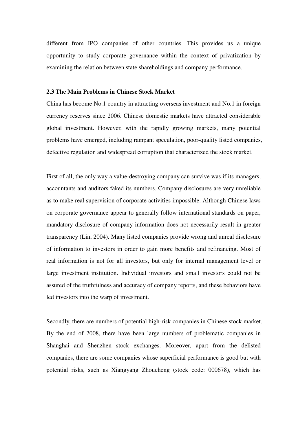different from IPO companies of other countries. This provides us a unique opportunity to study corporate governance within the context of privatization by examining the relation between state shareholdings and company performance.

### **2.3 The Main Problems in Chinese Stock Market**

China has become No.1 country in attracting overseas investment and No.1 in foreign currency reserves since 2006. Chinese domestic markets have attracted considerable global investment. However, with the rapidly growing markets, many potential problems have emerged, including rampant speculation, poor-quality listed companies, defective regulation and widespread corruption that characterized the stock market.

First of all, the only way a value-destroying company can survive was if its managers, accountants and auditors faked its numbers. Company disclosures are very unreliable as to make real supervision of corporate activities impossible. Although Chinese laws on corporate governance appear to generally follow international standards on paper, mandatory disclosure of company information does not necessarily result in greater transparency (Lin, 2004). Many listed companies provide wrong and unreal disclosure of information to investors in order to gain more benefits and refinancing. Most of real information is not for all investors, but only for internal management level or large investment institution. Individual investors and small investors could not be assured of the truthfulness and accuracy of company reports, and these behaviors have led investors into the warp of investment.

Secondly, there are numbers of potential high-risk companies in Chinese stock market. By the end of 2008, there have been large numbers of problematic companies in Shanghai and Shenzhen stock exchanges. Moreover, apart from the delisted companies, there are some companies whose superficial performance is good but with potential risks, such as Xiangyang Zhoucheng (stock code: 000678), which has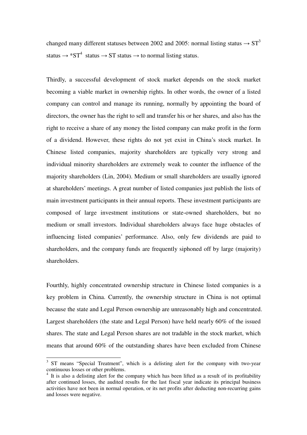changed many different statuses between 2002 and 2005: normal listing status  $\rightarrow$  ST<sup>3</sup> status  $\rightarrow$  \*ST<sup>4</sup> status  $\rightarrow$  ST status  $\rightarrow$  to normal listing status.

Thirdly, a successful development of stock market depends on the stock market becoming a viable market in ownership rights. In other words, the owner of a listed company can control and manage its running, normally by appointing the board of directors, the owner has the right to sell and transfer his or her shares, and also has the right to receive a share of any money the listed company can make profit in the form of a dividend. However, these rights do not yet exist in China's stock market. In Chinese listed companies, majority shareholders are typically very strong and individual minority shareholders are extremely weak to counter the influence of the majority shareholders (Lin, 2004). Medium or small shareholders are usually ignored at shareholders' meetings. A great number of listed companies just publish the lists of main investment participants in their annual reports. These investment participants are composed of large investment institutions or state-owned shareholders, but no medium or small investors. Individual shareholders always face huge obstacles of influencing listed companies' performance. Also, only few dividends are paid to shareholders, and the company funds are frequently siphoned off by large (majority) shareholders.

Fourthly, highly concentrated ownership structure in Chinese listed companies is a key problem in China. Currently, the ownership structure in China is not optimal because the state and Legal Person ownership are unreasonably high and concentrated. Largest shareholders (the state and Legal Person) have held nearly 60% of the issued shares. The state and Legal Person shares are not tradable in the stock market, which means that around 60% of the outstanding shares have been excluded from Chinese

<sup>&</sup>lt;sup>3</sup> ST means "Special Treatment", which is a delisting alert for the company with two-year continuous losses or other problems.<br><sup>4</sup> It is also a deligting elect for the c

It is also a delisting alert for the company which has been lifted as a result of its profitability after continued losses, the audited results for the last fiscal year indicate its principal business activities have not been in normal operation, or its net profits after deducting non-recurring gains and losses were negative.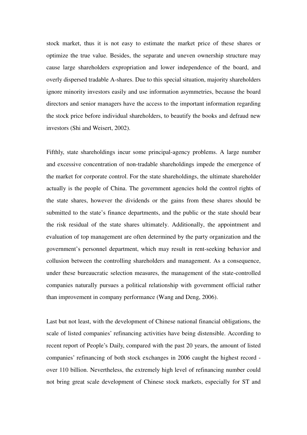stock market, thus it is not easy to estimate the market price of these shares or optimize the true value. Besides, the separate and uneven ownership structure may cause large shareholders expropriation and lower independence of the board, and overly dispersed tradable A-shares. Due to this special situation, majority shareholders ignore minority investors easily and use information asymmetries, because the board directors and senior managers have the access to the important information regarding the stock price before individual shareholders, to beautify the books and defraud new investors (Shi and Weisert, 2002).

Fifthly, state shareholdings incur some principal-agency problems. A large number and excessive concentration of non-tradable shareholdings impede the emergence of the market for corporate control. For the state shareholdings, the ultimate shareholder actually is the people of China. The government agencies hold the control rights of the state shares, however the dividends or the gains from these shares should be submitted to the state's finance departments, and the public or the state should bear the risk residual of the state shares ultimately. Additionally, the appointment and evaluation of top management are often determined by the party organization and the government's personnel department, which may result in rent-seeking behavior and collusion between the controlling shareholders and management. As a consequence, under these bureaucratic selection measures, the management of the state-controlled companies naturally pursues a political relationship with government official rather than improvement in company performance (Wang and Deng, 2006).

Last but not least, with the development of Chinese national financial obligations, the scale of listed companies' refinancing activities have being distensible. According to recent report of People's Daily, compared with the past 20 years, the amount of listed companies' refinancing of both stock exchanges in 2006 caught the highest record over 110 billion. Nevertheless, the extremely high level of refinancing number could not bring great scale development of Chinese stock markets, especially for ST and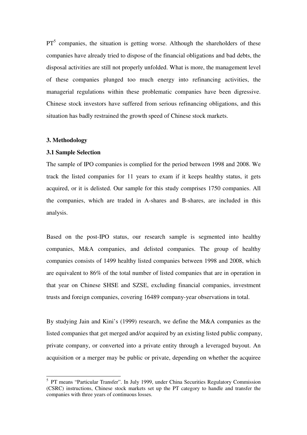$PT<sup>5</sup>$  companies, the situation is getting worse. Although the shareholders of these companies have already tried to dispose of the financial obligations and bad debts, the disposal activities are still not properly unfolded. What is more, the management level of these companies plunged too much energy into refinancing activities, the managerial regulations within these problematic companies have been digressive. Chinese stock investors have suffered from serious refinancing obligations, and this situation has badly restrained the growth speed of Chinese stock markets.

#### **3. Methodology**

 $\ddot{ }$ 

#### **3.1 Sample Selection**

The sample of IPO companies is complied for the period between 1998 and 2008. We track the listed companies for 11 years to exam if it keeps healthy status, it gets acquired, or it is delisted. Our sample for this study comprises 1750 companies. All the companies, which are traded in A-shares and B-shares, are included in this analysis.

Based on the post-IPO status, our research sample is segmented into healthy companies, M&A companies, and delisted companies. The group of healthy companies consists of 1499 healthy listed companies between 1998 and 2008, which are equivalent to 86% of the total number of listed companies that are in operation in that year on Chinese SHSE and SZSE, excluding financial companies, investment trusts and foreign companies, covering 16489 company-year observations in total.

By studying Jain and Kini's (1999) research, we define the M&A companies as the listed companies that get merged and/or acquired by an existing listed public company, private company, or converted into a private entity through a leveraged buyout. An acquisition or a merger may be public or private, depending on whether the acquiree

<sup>&</sup>lt;sup>5</sup> PT means "Particular Transfer". In July 1999, under China Securities Regulatory Commission (CSRC) instructions, Chinese stock markets set up the PT category to handle and transfer the companies with three years of continuous losses.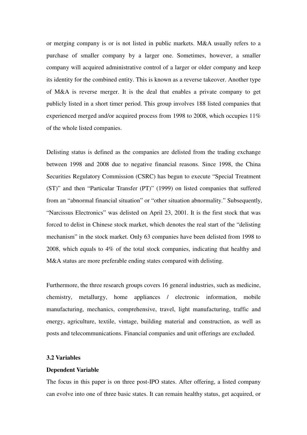or merging company is or is not listed in public markets. M&A usually refers to a purchase of smaller company by a larger one. Sometimes, however, a smaller company will acquired administrative control of a larger or older company and keep its identity for the combined entity. This is known as a reverse takeover. Another type of M&A is reverse merger. It is the deal that enables a private company to get publicly listed in a short timer period. This group involves 188 listed companies that experienced merged and/or acquired process from 1998 to 2008, which occupies 11% of the whole listed companies.

Delisting status is defined as the companies are delisted from the trading exchange between 1998 and 2008 due to negative financial reasons. Since 1998, the China Securities Regulatory Commission (CSRC) has begun to execute "Special Treatment (ST)" and then "Particular Transfer (PT)" (1999) on listed companies that suffered from an "abnormal financial situation" or "other situation abnormality." Subsequently, "Narcissus Electronics" was delisted on April 23, 2001. It is the first stock that was forced to delist in Chinese stock market, which denotes the real start of the "delisting mechanism" in the stock market. Only 63 companies have been delisted from 1998 to 2008, which equals to 4% of the total stock companies, indicating that healthy and M&A status are more preferable ending states compared with delisting.

Furthermore, the three research groups covers 16 general industries, such as medicine, chemistry, metallurgy, home appliances / electronic information, mobile manufacturing, mechanics, comprehensive, travel, light manufacturing, traffic and energy, agriculture, textile, vintage, building material and construction, as well as posts and telecommunications. Financial companies and unit offerings are excluded.

#### **3.2 Variables**

## **Dependent Variable**

The focus in this paper is on three post-IPO states. After offering, a listed company can evolve into one of three basic states. It can remain healthy status, get acquired, or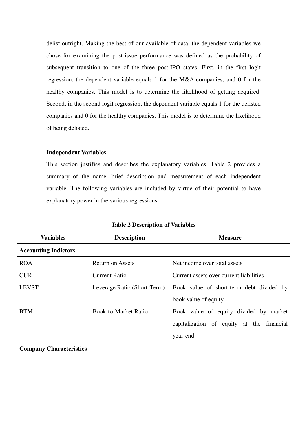delist outright. Making the best of our available of data, the dependent variables we chose for examining the post-issue performance was defined as the probability of subsequent transition to one of the three post-IPO states. First, in the first logit regression, the dependent variable equals 1 for the M&A companies, and 0 for the healthy companies. This model is to determine the likelihood of getting acquired. Second, in the second logit regression, the dependent variable equals 1 for the delisted companies and 0 for the healthy companies. This model is to determine the likelihood of being delisted.

#### **Independent Variables**

This section justifies and describes the explanatory variables. Table 2 provides a summary of the name, brief description and measurement of each independent variable. The following variables are included by virtue of their potential to have explanatory power in the various regressions.

| <b>Variables</b>                                    | <b>Description</b>          | <b>Measure</b>                            |  |  |  |  |
|-----------------------------------------------------|-----------------------------|-------------------------------------------|--|--|--|--|
| <b>Accounting Indictors</b>                         |                             |                                           |  |  |  |  |
| <b>ROA</b>                                          | <b>Return on Assets</b>     | Net income over total assets              |  |  |  |  |
| <b>CUR</b>                                          | <b>Current Ratio</b>        | Current assets over current liabilities   |  |  |  |  |
| <b>LEVST</b>                                        | Leverage Ratio (Short-Term) | Book value of short-term debt divided by  |  |  |  |  |
|                                                     |                             | book value of equity                      |  |  |  |  |
| <b>BTM</b>                                          | <b>Book-to-Market Ratio</b> | Book value of equity divided by market    |  |  |  |  |
|                                                     |                             | capitalization of equity at the financial |  |  |  |  |
|                                                     |                             | year-end                                  |  |  |  |  |
| $\sim$ $\sim$ $\sim$ $\sim$ $\sim$ $\sim$<br>$\sim$ |                             |                                           |  |  |  |  |

#### **Table 2 Description of Variables**

**Company Characteristics**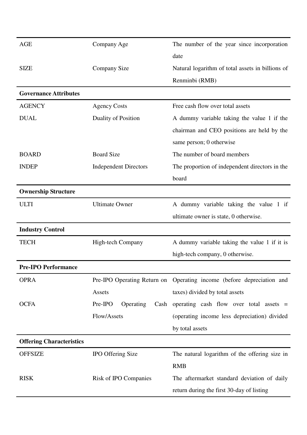| <b>AGE</b>                      | Company Age                  | The number of the year since incorporation                            |
|---------------------------------|------------------------------|-----------------------------------------------------------------------|
|                                 |                              | date                                                                  |
| <b>SIZE</b>                     | <b>Company Size</b>          | Natural logarithm of total assets in billions of                      |
|                                 |                              | Renminbi (RMB)                                                        |
| <b>Governance Attributes</b>    |                              |                                                                       |
| <b>AGENCY</b>                   | <b>Agency Costs</b>          | Free cash flow over total assets                                      |
| <b>DUAL</b>                     | <b>Duality of Position</b>   | A dummy variable taking the value 1 if the                            |
|                                 |                              | chairman and CEO positions are held by the                            |
|                                 |                              | same person; 0 otherwise                                              |
| <b>BOARD</b>                    | <b>Board Size</b>            | The number of board members                                           |
| <b>INDEP</b>                    | <b>Independent Directors</b> | The proportion of independent directors in the                        |
|                                 |                              | board                                                                 |
| <b>Ownership Structure</b>      |                              |                                                                       |
| <b>ULTI</b>                     | <b>Ultimate Owner</b>        | A dummy variable taking the value 1 if                                |
|                                 |                              | ultimate owner is state, 0 otherwise.                                 |
| <b>Industry Control</b>         |                              |                                                                       |
| <b>TECH</b>                     | High-tech Company            | A dummy variable taking the value 1 if it is                          |
|                                 |                              | high-tech company, 0 otherwise.                                       |
| <b>Pre-IPO Performance</b>      |                              |                                                                       |
| <b>OPRA</b>                     |                              | Pre-IPO Operating Return on Operating income (before depreciation and |
|                                 | Assets                       | taxes) divided by total assets                                        |
| <b>OCFA</b>                     | Pre-IPO<br>Operating<br>Cash | operating cash flow over total assets =                               |
|                                 | Flow/Assets                  | (operating income less depreciation) divided                          |
|                                 |                              | by total assets                                                       |
| <b>Offering Characteristics</b> |                              |                                                                       |
| <b>OFFSIZE</b>                  | <b>IPO Offering Size</b>     | The natural logarithm of the offering size in                         |
|                                 |                              | <b>RMB</b>                                                            |
| <b>RISK</b>                     | Risk of IPO Companies        | The aftermarket standard deviation of daily                           |
|                                 |                              | return during the first 30-day of listing                             |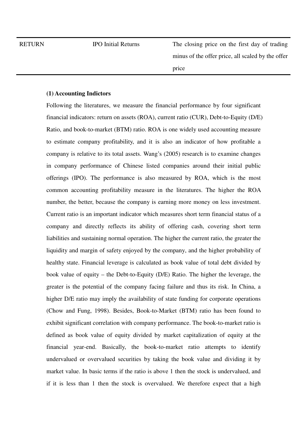RETURN IPO Initial Returns The closing price on the first day of trading minus of the offer price, all scaled by the offer price

## **(1) Accounting Indictors**

Following the literatures, we measure the financial performance by four significant financial indicators: return on assets (ROA), current ratio (CUR), Debt-to-Equity (D/E) Ratio, and book-to-market (BTM) ratio. ROA is one widely used accounting measure to estimate company profitability, and it is also an indicator of how profitable a company is relative to its total assets. Wang's (2005) research is to examine changes in company performance of Chinese listed companies around their initial public offerings (IPO). The performance is also measured by ROA, which is the most common accounting profitability measure in the literatures. The higher the ROA number, the better, because the company is earning more money on less investment. Current ratio is an important indicator which measures short term financial status of a company and directly reflects its ability of offering cash, covering short term liabilities and sustaining normal operation. The higher the current ratio, the greater the liquidity and margin of safety enjoyed by the company, and the higher probability of healthy state. Financial leverage is calculated as book value of total debt divided by book value of equity – the Debt-to-Equity (D/E) Ratio. The higher the leverage, the greater is the potential of the company facing failure and thus its risk. In China, a higher D/E ratio may imply the availability of state funding for corporate operations (Chow and Fung, 1998). Besides, Book-to-Market (BTM) ratio has been found to exhibit significant correlation with company performance. The book-to-market ratio is defined as book value of equity divided by market capitalization of equity at the financial year-end. Basically, the book-to-market ratio attempts to identify undervalued or overvalued securities by taking the book value and dividing it by market value. In basic terms if the ratio is above 1 then the stock is undervalued, and if it is less than 1 then the stock is overvalued. We therefore expect that a high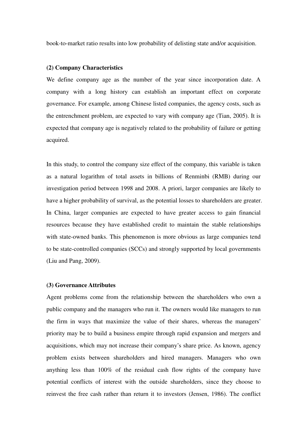book-to-market ratio results into low probability of delisting state and/or acquisition.

#### **(2) Company Characteristics**

We define company age as the number of the year since incorporation date. A company with a long history can establish an important effect on corporate governance. For example, among Chinese listed companies, the agency costs, such as the entrenchment problem, are expected to vary with company age (Tian, 2005). It is expected that company age is negatively related to the probability of failure or getting acquired.

In this study, to control the company size effect of the company, this variable is taken as a natural logarithm of total assets in billions of Renminbi (RMB) during our investigation period between 1998 and 2008. A priori, larger companies are likely to have a higher probability of survival, as the potential losses to shareholders are greater. In China, larger companies are expected to have greater access to gain financial resources because they have established credit to maintain the stable relationships with state-owned banks. This phenomenon is more obvious as large companies tend to be state-controlled companies (SCCs) and strongly supported by local governments (Liu and Pang, 2009).

#### **(3) Governance Attributes**

Agent problems come from the relationship between the shareholders who own a public company and the managers who run it. The owners would like managers to run the firm in ways that maximize the value of their shares, whereas the managers' priority may be to build a business empire through rapid expansion and mergers and acquisitions, which may not increase their company's share price. As known, agency problem exists between shareholders and hired managers. Managers who own anything less than 100% of the residual cash flow rights of the company have potential conflicts of interest with the outside shareholders, since they choose to reinvest the free cash rather than return it to investors (Jensen, 1986). The conflict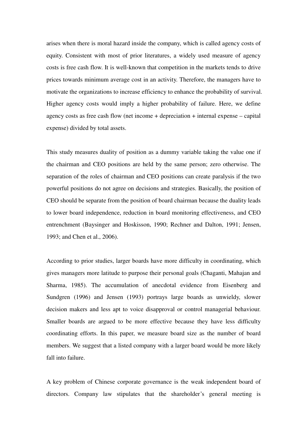arises when there is moral hazard inside the company, which is called agency costs of equity. Consistent with most of prior literatures, a widely used measure of agency costs is free cash flow. It is well-known that competition in the markets tends to drive prices towards minimum average cost in an activity. Therefore, the managers have to motivate the organizations to increase efficiency to enhance the probability of survival. Higher agency costs would imply a higher probability of failure. Here, we define agency costs as free cash flow (net income + depreciation + internal expense – capital expense) divided by total assets.

This study measures duality of position as a dummy variable taking the value one if the chairman and CEO positions are held by the same person; zero otherwise. The separation of the roles of chairman and CEO positions can create paralysis if the two powerful positions do not agree on decisions and strategies. Basically, the position of CEO should be separate from the position of board chairman because the duality leads to lower board independence, reduction in board monitoring effectiveness, and CEO entrenchment (Baysinger and Hoskisson, 1990; Rechner and Dalton, 1991; Jensen, 1993; and Chen et al., 2006).

According to prior studies, larger boards have more difficulty in coordinating, which gives managers more latitude to purpose their personal goals (Chaganti, Mahajan and Sharma, 1985). The accumulation of anecdotal evidence from Eisenberg and Sundgren (1996) and Jensen (1993) portrays large boards as unwieldy, slower decision makers and less apt to voice disapproval or control managerial behaviour. Smaller boards are argued to be more effective because they have less difficulty coordinating efforts. In this paper, we measure board size as the number of board members. We suggest that a listed company with a larger board would be more likely fall into failure.

A key problem of Chinese corporate governance is the weak independent board of directors. Company law stipulates that the shareholder's general meeting is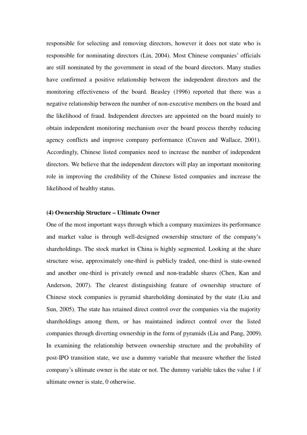responsible for selecting and removing directors, however it does not state who is responsible for nominating directors (Lin, 2004). Most Chinese companies' officials are still nominated by the government in stead of the board directors. Many studies have confirmed a positive relationship between the independent directors and the monitoring effectiveness of the board. Beasley (1996) reported that there was a negative relationship between the number of non-executive members on the board and the likelihood of fraud. Independent directors are appointed on the board mainly to obtain independent monitoring mechanism over the board process thereby reducing agency conflicts and improve company performance (Craven and Wallace, 2001). Accordingly, Chinese listed companies need to increase the number of independent directors. We believe that the independent directors will play an important monitoring role in improving the credibility of the Chinese listed companies and increase the likelihood of healthy status.

## **(4) Ownership Structure – Ultimate Owner**

One of the most important ways through which a company maximizes its performance and market value is through well-designed ownership structure of the company's shareholdings. The stock market in China is highly segmented. Looking at the share structure wise, approximately one-third is publicly traded, one-third is state-owned and another one-third is privately owned and non-tradable shares (Chen, Kan and Anderson, 2007). The clearest distinguishing feature of ownership structure of Chinese stock companies is pyramid shareholding dominated by the state (Liu and Sun, 2005). The state has retained direct control over the companies via the majority shareholdings among them, or has maintained indirect control over the listed companies through diverting ownership in the form of pyramids (Liu and Pang, 2009). In examining the relationship between ownership structure and the probability of post-IPO transition state, we use a dummy variable that measure whether the listed company's ultimate owner is the state or not. The dummy variable takes the value 1 if ultimate owner is state, 0 otherwise.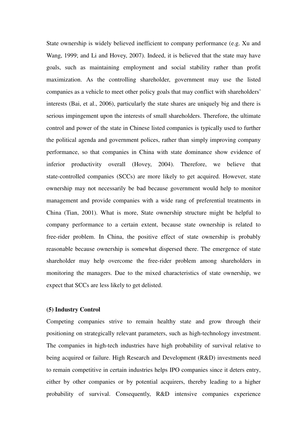State ownership is widely believed inefficient to company performance (e.g. Xu and Wang, 1999; and Li and Hovey, 2007). Indeed, it is believed that the state may have goals, such as maintaining employment and social stability rather than profit maximization. As the controlling shareholder, government may use the listed companies as a vehicle to meet other policy goals that may conflict with shareholders' interests (Bai, et al., 2006), particularly the state shares are uniquely big and there is serious impingement upon the interests of small shareholders. Therefore, the ultimate control and power of the state in Chinese listed companies is typically used to further the political agenda and government polices, rather than simply improving company performance, so that companies in China with state dominance show evidence of inferior productivity overall (Hovey, 2004). Therefore, we believe that state-controlled companies (SCCs) are more likely to get acquired. However, state ownership may not necessarily be bad because government would help to monitor management and provide companies with a wide rang of preferential treatments in China (Tian, 2001). What is more, State ownership structure might be helpful to company performance to a certain extent, because state ownership is related to free-rider problem. In China, the positive effect of state ownership is probably reasonable because ownership is somewhat dispersed there. The emergence of state shareholder may help overcome the free-rider problem among shareholders in monitoring the managers. Due to the mixed characteristics of state ownership, we expect that SCCs are less likely to get delisted.

#### **(5) Industry Control**

Competing companies strive to remain healthy state and grow through their positioning on strategically relevant parameters, such as high-technology investment. The companies in high-tech industries have high probability of survival relative to being acquired or failure. High Research and Development (R&D) investments need to remain competitive in certain industries helps IPO companies since it deters entry, either by other companies or by potential acquirers, thereby leading to a higher probability of survival. Consequently, R&D intensive companies experience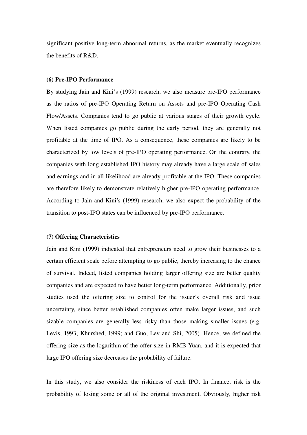significant positive long-term abnormal returns, as the market eventually recognizes the benefits of R&D.

#### **(6) Pre-IPO Performance**

By studying Jain and Kini's (1999) research, we also measure pre-IPO performance as the ratios of pre-IPO Operating Return on Assets and pre-IPO Operating Cash Flow/Assets. Companies tend to go public at various stages of their growth cycle. When listed companies go public during the early period, they are generally not profitable at the time of IPO. As a consequence, these companies are likely to be characterized by low levels of pre-IPO operating performance. On the contrary, the companies with long established IPO history may already have a large scale of sales and earnings and in all likelihood are already profitable at the IPO. These companies are therefore likely to demonstrate relatively higher pre-IPO operating performance. According to Jain and Kini's (1999) research, we also expect the probability of the transition to post-IPO states can be influenced by pre-IPO performance.

## **(7) Offering Characteristics**

Jain and Kini (1999) indicated that entrepreneurs need to grow their businesses to a certain efficient scale before attempting to go public, thereby increasing to the chance of survival. Indeed, listed companies holding larger offering size are better quality companies and are expected to have better long-term performance. Additionally, prior studies used the offering size to control for the issuer's overall risk and issue uncertainty, since better established companies often make larger issues, and such sizable companies are generally less risky than those making smaller issues (e.g. Levis, 1993; Khurshed, 1999; and Guo, Lev and Shi, 2005). Hence, we defined the offering size as the logarithm of the offer size in RMB Yuan, and it is expected that large IPO offering size decreases the probability of failure.

In this study, we also consider the riskiness of each IPO. In finance, risk is the probability of losing some or all of the original investment. Obviously, higher risk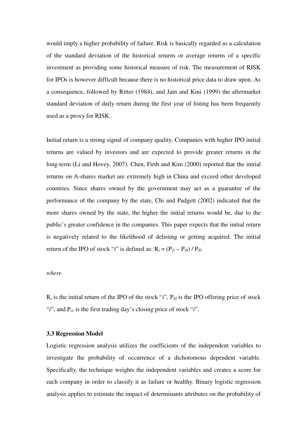would imply a higher probability of failure. Risk is basically regarded as a calculation of the standard deviation of the historical returns or average returns of a specific investment as providing some historical measure of risk. The measurement of RISK for IPOs is however difficult because there is no historical price data to draw upon. As a consequence, followed by Ritter (1984), and Jain and Kini (1999) the aftermarket standard deviation of daily return during the first year of listing has been frequently used as a proxy for RISK.

Initial return is a strong signal of company quality. Companies with higher IPO initial returns are valued by investors and are expected to provide greater returns in the long-term (Li and Hovey, 2007). Chen, Firth and Kim (2000) reported that the initial returns on A-shares market are extremely high in China and exceed other developed countries. Since shares owned by the government may act as a guarantee of the performance of the company by the state, Chi and Padgett (2002) indicated that the more shares owned by the state, the higher the initial returns would be, due to the public's greater confidence in the companies. This paper expects that the initial return is negatively related to the likelihood of delisting or getting acquired. The initial return of the IPO of stock "*i*" is defined as:  $R_i = (P_{i1} - P_{i0}) / P_{i0}$ 

## *where*

 $R_i$  is the initial return of the IPO of the stock " $i$ ",  $P_{i0}$  is the IPO offering price of stock "*i*", and P*<sup>i</sup>*<sup>1</sup> is the first trading day's closing price of stock "*i*".

#### **3.3 Regression Model**

Logistic regression analysis utilizes the coefficients of the independent variables to investigate the probability of occurrence of a dichotomous dependent variable. Specifically, the technique weights the independent variables and creates a score for each company in order to classify it as failure or healthy. Binary logistic regression analysis applies to estimate the impact of determinants attributes on the probability of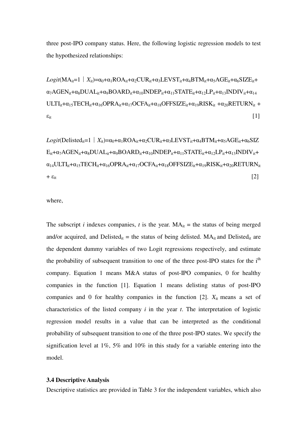three post-IPO company status. Here, the following logistic regression models to test the hypothesized relationships:

 $Logit(MA_{it}=1 | X_{it})=\alpha_0+\alpha_1ROA_{it}+\alpha_2CUR_{it}+\alpha_3LEVST_{it}+\alpha_4BTM_{it}+\alpha_5AGE_{it}+\alpha_6SIZE_{it}+$  $\alpha_7AGEN_{it}+\alpha_8DUAL_{it}+\alpha_9BOARD_{it}+\alpha_{10}INDEPEND_{it}+\alpha_{11}STATE_{it}+\alpha_{12}LP_{it}+\alpha_{13}INDIV_{it}+\alpha_{14}$ ULTI<sub>it</sub>+ $\alpha_{15}$ TECH<sub>it</sub>+ $\alpha_{16}$ OPRA<sub>it</sub>+ $\alpha_{17}$ OCFA<sub>it</sub>+ $\alpha_{18}$ OFFSIZE<sub>it</sub>+ $\alpha_{19}$ RISK<sub>it</sub> + $\alpha_{20}$ RETURN<sub>it</sub> +  $\varepsilon_{it}$  [1]

 $Logit(Delisted_{it}=1 | X_{it})=\alpha_0+\alpha_1ROA_{it}+\alpha_2CUR_{it}+\alpha_3LEVST_{it}+\alpha_4BTM_{it}+\alpha_5AGE_{it}+\alpha_6SIZ$  $E_{it}+\alpha_7AGEN_{it}+\alpha_8DUAL_{it}+\alpha_9BOARD_{it}+\alpha_{10}INDEPEND_{it}+\alpha_{11}STATE_{it}+\alpha_{12}LP_{it}+\alpha_{13}INDIV_{it}+$  $\alpha_{14}$ ULTI<sub>it</sub>+ $\alpha_{15}$ TECH<sub>it</sub>+ $\alpha_{16}$ OPRA<sub>it</sub>+ $\alpha_{17}$ OCFA<sub>it</sub>+ $\alpha_{18}$ OFFSIZE<sub>it</sub>+ $\alpha_{19}$ RISK<sub>it</sub>+ $\alpha_{20}$ RETURN<sub>it</sub>  $+ \varepsilon_{it}$  [2]

where,

The subscript *i* indexes companies, *t* is the year.  $MA_{it}$  = the status of being merged and/or acquired, and Delisted<sub>it</sub> = the status of being delisted.  $MA_{it}$  and Delisted<sub>it</sub> are the dependent dummy variables of two Logit regressions respectively, and estimate the probability of subsequent transition to one of the three post-IPO states for the i<sup>th</sup> company. Equation 1 means M&A status of post-IPO companies, 0 for healthy companies in the function [1]. Equation 1 means delisting status of post-IPO companies and 0 for healthy companies in the function  $[2]$ .  $X_{it}$  means a set of characteristics of the listed company *i* in the year *t*. The interpretation of logistic regression model results in a value that can be interpreted as the conditional probability of subsequent transition to one of the three post-IPO states. We specify the signification level at 1%, 5% and 10% in this study for a variable entering into the model.

#### **3.4 Descriptive Analysis**

Descriptive statistics are provided in Table 3 for the independent variables, which also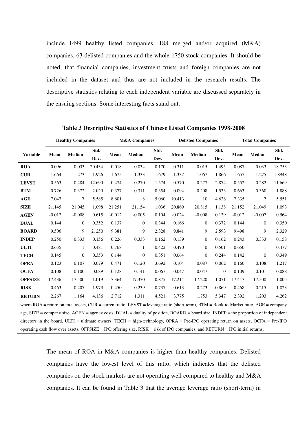include 1499 healthy listed companies, 188 merged and/or acquired (M&A) companies, 63 delisted companies and the whole 1750 stock companies. It should be noted, that financial companies, investment trusts and foreign companies are not included in the dataset and thus are not included in the research results. The descriptive statistics relating to each independent variable are discussed separately in the ensuing sections. Some interesting facts stand out.

|                 | <b>Healthy Companies</b> |          | <b>M&amp;A Companies</b> |          |               | <b>Delisted Companies</b> |          |              | <b>Total Companies</b> |          |               |              |
|-----------------|--------------------------|----------|--------------------------|----------|---------------|---------------------------|----------|--------------|------------------------|----------|---------------|--------------|
| <b>Variable</b> | Mean                     | Median   | Std.<br>Dev.             | Mean     | <b>Median</b> | Std.<br>Dev.              | Mean     | Median       | Std.<br>Dev.           | Mean     | <b>Median</b> | Std.<br>Dev. |
| <b>ROA</b>      | $-0.096$                 | 0.033    | 20.434                   | 0.018    | 0.034         | 0.170                     | $-0.311$ | 0.015        | 1.495                  | $-0.087$ | 0.033         | 18.753       |
| <b>CUR</b>      | 1.664                    | 1.273    | 1.926                    | 1.675    | 1.333         | 1.679                     | 1.337    | 1.067        | 1.866                  | 1.657    | 1.275         | 1.8948       |
| <b>LEVST</b>    | 0.563                    | 0.284    | 12.690                   | 0.474    | 0.270         | 1.574                     | 0.570    | 0.277        | 2.874                  | 0.552    | 0.282         | 11.669       |
| <b>BTM</b>      | 0.726                    | 0.372    | 2.029                    | 0.377    | 0.311         | 0.354                     | 0.094    | 0.208        | 1.533                  | 0.663    | 0.360         | 1.888        |
| <b>AGE</b>      | 7.047                    | 7        | 5.585                    | 8.601    | 8             | 5.060                     | 10.413   | 10           | 4.628                  | 7.335    | 7             | 5.551        |
| <b>SIZE</b>     | 21.145                   | 21.045   | 1.098                    | 21.251   | 21.154        | 1.036                     | 20.869   | 20.815       | 1.138                  | 21.152   | 21.049        | 1.093        |
| <b>AGEN</b>     | $-0.012$                 | $-0.008$ | 0.615                    | $-0.012$ | $-0.005$      | 0.104                     | $-0.024$ | $-0.008$     | 0.139                  | $-0.012$ | $-0.007$      | 0.564        |
| <b>DUAL</b>     | 0.144                    | $\theta$ | 0.352                    | 0.137    | $\mathbf{0}$  | 0.344                     | 0.166    | $\mathbf{0}$ | 0.372                  | 0.144    | $\theta$      | 0.350        |
| <b>BOARD</b>    | 9.506                    | 9        | 2.250                    | 9.381    | 9             | 2.328                     | 9.841    | 9            | 2.593                  | 9.498    | 9             | 2.329        |
| <b>INDEP</b>    | 0.250                    | 0.333    | 0.156                    | 0.226    | 0.333         | 0.162                     | 0.139    | $\theta$     | 0.162                  | 0.243    | 0.333         | 0.158        |
| <b>ULTI</b>     | 0.635                    | 1        | 0.481                    | 0.768    | $\mathbf{1}$  | 0.422                     | 0.490    | $\theta$     | 0.501                  | 0.650    | $\mathbf{1}$  | 0.477        |
| <b>TECH</b>     | 0.145                    | $\theta$ | 0.353                    | 0.144    | $\mathbf{0}$  | 0.351                     | 0.064    | $\theta$     | 0.244                  | 0.142    | $\mathbf{0}$  | 0.349        |
| <b>OPRA</b>     | 0.123                    | 0.107    | 0.079                    | 0.471    | 0.120         | 3.692                     | 0.104    | 0.087        | 0.062                  | 0.160    | 0.108         | 1.217        |
| <b>OCFA</b>     | 0.108                    | 0.100    | 0.089                    | 0.128    | 0.141         | 0.067                     | 0.047    | 0.047        | $\mathbf{0}$           | 0.109    | 0.101         | 0.088        |
| <b>OFFSIZE</b>  | 17.436                   | 17.500   | 1.019                    | 17.364   | 17.370        | 0.875                     | 17.214   | 17.220       | 1.071                  | 17.417   | 17.500        | 1.005        |
| <b>RISK</b>     | 0.463                    | 0.207    | 1.973                    | 0.450    | 0.239         | 0.737                     | 0.613    | 0.273        | 0.869                  | 0.468    | 0.215         | 1.823        |
| <b>RETURN</b>   | 2.267                    | 1.164    | 4.136                    | 2.712    | 1.311         | 4.521                     | 3.775    | 1.753        | 5.347                  | 2.392    | 1.203         | 4.262        |

**Table 3 Descriptive Statistics of Chinese Listed Companies 1998-2008** 

where ROA = return on total assets, CUR = current ratio, LEVST = leverage ratio (short-term), BTM = Book-to-Market ratio, AGE = company age, SIZE = company size, AGEN = agency costs, DUAL = duality of position, BOARD = board size, INDEP = the proportion of independent directors in the board, ULTI = ultimate owners, TECH = high-technology, OPRA = Pre-IPO operating return on assets, OCFA = Pre-IPO operating cash flow over assets, OFFSIZE = IPO offering size, RISK = risk of IPO companies, and RETURN = IPO initial returns.

The mean of ROA in M&A companies is higher than healthy companies. Delisted companies have the lowest level of this ratio, which indicates that the delisted companies on the stock markets are not operating well compared to healthy and M&A companies. It can be found in Table 3 that the average leverage ratio (short-term) in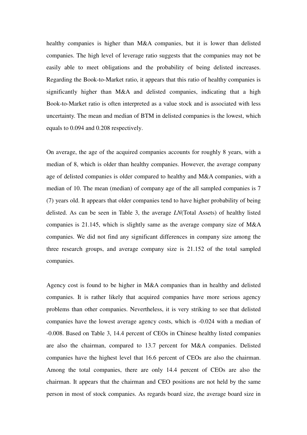healthy companies is higher than M&A companies, but it is lower than delisted companies. The high level of leverage ratio suggests that the companies may not be easily able to meet obligations and the probability of being delisted increases. Regarding the Book-to-Market ratio, it appears that this ratio of healthy companies is significantly higher than M&A and delisted companies, indicating that a high Book-to-Market ratio is often interpreted as a value stock and is associated with less uncertainty. The mean and median of BTM in delisted companies is the lowest, which equals to 0.094 and 0.208 respectively.

On average, the age of the acquired companies accounts for roughly 8 years, with a median of 8, which is older than healthy companies. However, the average company age of delisted companies is older compared to healthy and M&A companies, with a median of 10. The mean (median) of company age of the all sampled companies is 7 (7) years old. It appears that older companies tend to have higher probability of being delisted. As can be seen in Table 3, the average *LN*(Total Assets) of healthy listed companies is 21.145, which is slightly same as the average company size of M&A companies. We did not find any significant differences in company size among the three research groups, and average company size is 21.152 of the total sampled companies.

Agency cost is found to be higher in M&A companies than in healthy and delisted companies. It is rather likely that acquired companies have more serious agency problems than other companies. Nevertheless, it is very striking to see that delisted companies have the lowest average agency costs, which is -0.024 with a median of -0.008. Based on Table 3, 14.4 percent of CEOs in Chinese healthy listed companies are also the chairman, compared to 13.7 percent for M&A companies. Delisted companies have the highest level that 16.6 percent of CEOs are also the chairman. Among the total companies, there are only 14.4 percent of CEOs are also the chairman. It appears that the chairman and CEO positions are not held by the same person in most of stock companies. As regards board size, the average board size in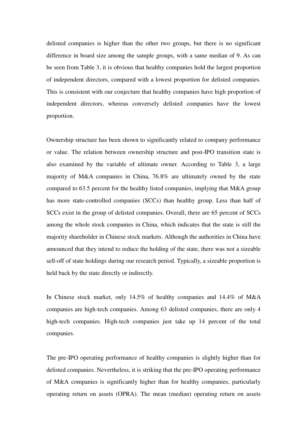delisted companies is higher than the other two groups, but there is no significant difference in board size among the sample groups, with a same median of 9. As can be seen from Table 3, it is obvious that healthy companies hold the largest proportion of independent directors, compared with a lowest proportion for delisted companies. This is consistent with our conjecture that healthy companies have high proportion of independent directors, whereas conversely delisted companies have the lowest proportion.

Ownership structure has been shown to significantly related to company performance or value. The relation between ownership structure and post-IPO transition state is also examined by the variable of ultimate owner. According to Table 3, a large majority of M&A companies in China, 76.8% are ultimately owned by the state compared to 63.5 percent for the healthy listed companies, implying that M&A group has more state-controlled companies (SCCs) than healthy group. Less than half of SCCs exist in the group of delisted companies. Overall, there are 65 percent of SCCs among the whole stock companies in China, which indicates that the state is still the majority shareholder in Chinese stock markets. Although the authorities in China have announced that they intend to reduce the holding of the state, there was not a sizeable sell-off of state holdings during our research period. Typically, a sizeable proportion is held back by the state directly or indirectly.

In Chinese stock market, only 14.5% of healthy companies and 14.4% of M&A companies are high-tech companies. Among 63 delisted companies, there are only 4 high-tech companies. High-tech companies just take up 14 percent of the total companies.

The pre-IPO operating performance of healthy companies is slightly higher than for delisted companies. Nevertheless, it is striking that the pre-IPO operating performance of M&A companies is significantly higher than for healthy companies, particularly operating return on assets (OPRA). The mean (median) operating return on assets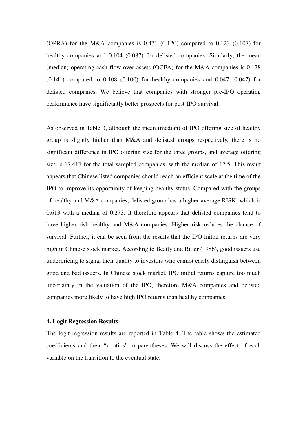(OPRA) for the M&A companies is  $0.471$  (0.120) compared to  $0.123$  (0.107) for healthy companies and 0.104 (0.087) for delisted companies. Similarly, the mean (median) operating cash flow over assets (OCFA) for the M&A companies is 0.128  $(0.141)$  compared to  $0.108$   $(0.100)$  for healthy companies and  $0.047$   $(0.047)$  for delisted companies. We believe that companies with stronger pre-IPO operating performance have significantly better prospects for post-IPO survival.

As observed in Table 3, although the mean (median) of IPO offering size of healthy group is slightly higher than M&A and delisted groups respectively, there is no significant difference in IPO offering size for the three groups, and average offering size is 17.417 for the total sampled companies, with the median of 17.5. This result appears that Chinese listed companies should reach an efficient scale at the time of the IPO to improve its opportunity of keeping healthy status. Compared with the groups of healthy and M&A companies, delisted group has a higher average RISK, which is 0.613 with a median of 0.273. It therefore appears that delisted companies tend to have higher risk healthy and M&A companies. Higher risk reduces the chance of survival. Further, it can be seen from the results that the IPO initial returns are very high in Chinese stock market. According to Beatty and Ritter (1986), good issuers use underpricing to signal their quality to investors who cannot easily distinguish between good and bad issuers. In Chinese stock market, IPO initial returns capture too much uncertainty in the valuation of the IPO, therefore M&A companies and delisted companies more likely to have high IPO returns than healthy companies.

#### **4. Logit Regression Results**

The logit regression results are reported in Table 4. The table shows the estimated coefficients and their "z-ratios" in parentheses. We will discuss the effect of each variable on the transition to the eventual state.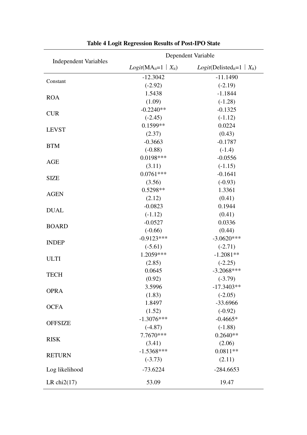|                              | Dependent Variable          |                                                      |  |  |  |  |
|------------------------------|-----------------------------|------------------------------------------------------|--|--|--|--|
| <b>Independent Variables</b> | $Logit(MA_{it}=1   X_{it})$ | <i>Logit</i> (Delisted <sub>it</sub> =1   $X_{it}$ ) |  |  |  |  |
|                              | $-12.3042$                  | $-11.1490$                                           |  |  |  |  |
| Constant                     | $(-2.92)$                   | $(-2.19)$                                            |  |  |  |  |
|                              | 1.5438                      | $-1.1844$                                            |  |  |  |  |
| <b>ROA</b>                   | (1.09)                      | $(-1.28)$                                            |  |  |  |  |
| <b>CUR</b>                   | $-0.2240**$                 | $-0.1325$                                            |  |  |  |  |
|                              | $(-2.45)$                   | $(-1.12)$                                            |  |  |  |  |
|                              | 0.1599**                    | 0.0224                                               |  |  |  |  |
| <b>LEVST</b>                 | (2.37)                      | (0.43)                                               |  |  |  |  |
|                              | $-0.3663$                   | $-0.1787$                                            |  |  |  |  |
| <b>BTM</b>                   | $(-0.88)$                   | $(-1.4)$                                             |  |  |  |  |
| <b>AGE</b>                   | $0.0198***$                 | $-0.0556$                                            |  |  |  |  |
|                              | (3.11)                      | $(-1.15)$                                            |  |  |  |  |
|                              | $0.0761***$                 | $-0.1641$                                            |  |  |  |  |
| <b>SIZE</b>                  | (3.56)                      | $(-0.93)$                                            |  |  |  |  |
| <b>AGEN</b>                  | 0.5298**                    | 1.3361                                               |  |  |  |  |
|                              | (2.12)                      | (0.41)                                               |  |  |  |  |
|                              | $-0.0823$                   | 0.1944                                               |  |  |  |  |
| <b>DUAL</b>                  | $(-1.12)$                   | (0.41)                                               |  |  |  |  |
|                              | $-0.0527$                   | 0.0336                                               |  |  |  |  |
| <b>BOARD</b>                 | $(-0.66)$                   | (0.44)                                               |  |  |  |  |
| <b>INDEP</b>                 | $-0.9123***$                | $-3.0620***$                                         |  |  |  |  |
|                              | $(-5.61)$                   | $(-2.71)$                                            |  |  |  |  |
| <b>ULTI</b>                  | 1.2059***                   | $-1.2081**$                                          |  |  |  |  |
|                              | (2.85)                      | $(-2.25)$                                            |  |  |  |  |
| <b>TECH</b>                  | 0.0645                      | $-3.2068***$                                         |  |  |  |  |
|                              | (0.92)                      | $(-3.79)$                                            |  |  |  |  |
| <b>OPRA</b>                  | 3.5996                      | $-17.3403**$                                         |  |  |  |  |
|                              | (1.83)                      | $(-2.05)$                                            |  |  |  |  |
| <b>OCFA</b>                  | 1.8497                      | -33.6966                                             |  |  |  |  |
|                              | (1.52)                      | $(-0.92)$                                            |  |  |  |  |
| <b>OFFSIZE</b>               | $-1.3076***$                | $-0.4665*$                                           |  |  |  |  |
|                              | $(-4.87)$                   | $(-1.88)$                                            |  |  |  |  |
| <b>RISK</b>                  | 7.7670***                   | $0.2640**$                                           |  |  |  |  |
|                              | (3.41)                      | (2.06)                                               |  |  |  |  |
| <b>RETURN</b>                | $-1.5368***$                | $0.0811**$                                           |  |  |  |  |
|                              | $(-3.73)$                   | (2.11)                                               |  |  |  |  |
| Log likelihood               | $-73.6224$                  | $-284.6653$                                          |  |  |  |  |
| LR chi $2(17)$               | 53.09                       | 19.47                                                |  |  |  |  |

**Table 4 Logit Regression Results of Post-IPO State**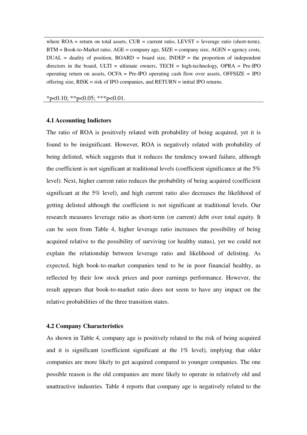where  $ROA$  = return on total assets,  $CUR$  = current ratio, LEVST = leverage ratio (short-term),  $BTM = Book-to-Market ratio, AGE = company age, SIZE = company size, AGEN = agency costs,$  $DUAL = duality$  of position,  $BOARD = board$  size,  $INDEPEND = the proportion of independent$ directors in the board, ULTI = ultimate owners, TECH = high-technology, OPR $A = Pre-IPO$ operating return on assets, OCFA = Pre-IPO operating cash flow over assets, OFFSIZE = IPO offering size, RISK = risk of IPO companies, and RETURN = initial IPO returns.

 $*p<0.10$ ;  $*p<0.05$ ;  $**p<0.01$ .

## **4.1 Accounting Indictors**

The ratio of ROA is positively related with probability of being acquired, yet it is found to be insignificant. However, ROA is negatively related with probability of being delisted, which suggests that it reduces the tendency toward failure, although the coefficient is not significant at traditional levels (coefficient significance at the 5% level). Next, higher current ratio reduces the probability of being acquired (coefficient significant at the 5% level), and high current ratio also decreases the likelihood of getting delisted although the coefficient is not significant at traditional levels. Our research measures leverage ratio as short-term (or current) debt over total equity. It can be seen from Table 4, higher leverage ratio increases the possibility of being acquired relative to the possibility of surviving (or healthy status), yet we could not explain the relationship between leverage ratio and likelihood of delisting. As expected, high book-to-market companies tend to be in poor financial healthy, as reflected by their low stock prices and poor earnings performance. However, the result appears that book-to-market ratio does not seem to have any impact on the relative probabilities of the three transition states.

## **4.2 Company Characteristics**

As shown in Table 4, company age is positively related to the risk of being acquired and it is significant (coefficient significant at the 1% level), implying that older companies are more likely to get acquired compared to younger companies. The one possible reason is the old companies are more likely to operate in relatively old and unattractive industries. Table 4 reports that company age is negatively related to the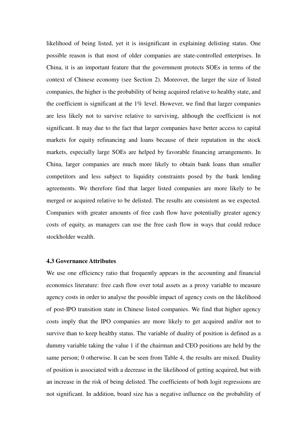likelihood of being listed, yet it is insignificant in explaining delisting status. One possible reason is that most of older companies are state-controlled enterprises. In China, it is an important feature that the government protects SOEs in terms of the context of Chinese economy (see Section 2). Moreover, the larger the size of listed companies, the higher is the probability of being acquired relative to healthy state, and the coefficient is significant at the 1% level. However, we find that larger companies are less likely not to survive relative to surviving, although the coefficient is not significant. It may due to the fact that larger companies have better access to capital markets for equity refinancing and loans because of their reputation in the stock markets, especially large SOEs are helped by favorable financing arrangements. In China, larger companies are much more likely to obtain bank loans than smaller competitors and less subject to liquidity constraints posed by the bank lending agreements. We therefore find that larger listed companies are more likely to be merged or acquired relative to be delisted. The results are consistent as we expected. Companies with greater amounts of free cash flow have potentially greater agency costs of equity, as managers can use the free cash flow in ways that could reduce stockholder wealth.

## **4.3 Governance Attributes**

We use one efficiency ratio that frequently appears in the accounting and financial economics literature: free cash flow over total assets as a proxy variable to measure agency costs in order to analyse the possible impact of agency costs on the likelihood of post-IPO transition state in Chinese listed companies. We find that higher agency costs imply that the IPO companies are more likely to get acquired and/or not to survive than to keep healthy status. The variable of duality of position is defined as a dummy variable taking the value 1 if the chairman and CEO positions are held by the same person; 0 otherwise. It can be seen from Table 4, the results are mixed. Duality of position is associated with a decrease in the likelihood of getting acquired, but with an increase in the risk of being delisted. The coefficients of both logit regressions are not significant. In addition, board size has a negative influence on the probability of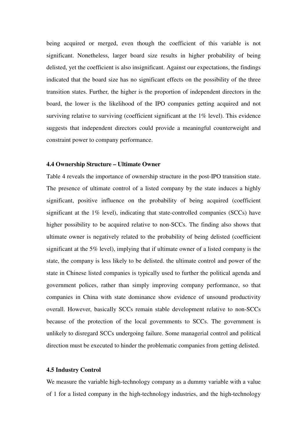being acquired or merged, even though the coefficient of this variable is not significant. Nonetheless, larger board size results in higher probability of being delisted, yet the coefficient is also insignificant. Against our expectations, the findings indicated that the board size has no significant effects on the possibility of the three transition states. Further, the higher is the proportion of independent directors in the board, the lower is the likelihood of the IPO companies getting acquired and not surviving relative to surviving (coefficient significant at the 1% level). This evidence suggests that independent directors could provide a meaningful counterweight and constraint power to company performance.

## **4.4 Ownership Structure – Ultimate Owner**

Table 4 reveals the importance of ownership structure in the post-IPO transition state. The presence of ultimate control of a listed company by the state induces a highly significant, positive influence on the probability of being acquired (coefficient significant at the 1% level), indicating that state-controlled companies (SCCs) have higher possibility to be acquired relative to non-SCCs. The finding also shows that ultimate owner is negatively related to the probability of being delisted (coefficient significant at the 5% level), implying that if ultimate owner of a listed company is the state, the company is less likely to be delisted. the ultimate control and power of the state in Chinese listed companies is typically used to further the political agenda and government polices, rather than simply improving company performance, so that companies in China with state dominance show evidence of unsound productivity overall. However, basically SCCs remain stable development relative to non-SCCs because of the protection of the local governments to SCCs. The government is unlikely to disregard SCCs undergoing failure. Some managerial control and political direction must be executed to hinder the problematic companies from getting delisted.

## **4.5 Industry Control**

We measure the variable high-technology company as a dummy variable with a value of 1 for a listed company in the high-technology industries, and the high-technology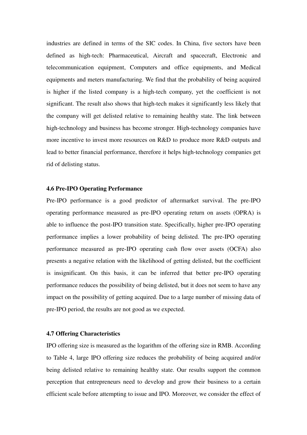industries are defined in terms of the SIC codes. In China, five sectors have been defined as high-tech: Pharmaceutical, Aircraft and spacecraft, Electronic and telecommunication equipment, Computers and office equipments, and Medical equipments and meters manufacturing. We find that the probability of being acquired is higher if the listed company is a high-tech company, yet the coefficient is not significant. The result also shows that high-tech makes it significantly less likely that the company will get delisted relative to remaining healthy state. The link between high-technology and business has become stronger. High-technology companies have more incentive to invest more resources on R&D to produce more R&D outputs and lead to better financial performance, therefore it helps high-technology companies get rid of delisting status.

# **4.6 Pre-IPO Operating Performance**

Pre-IPO performance is a good predictor of aftermarket survival. The pre-IPO operating performance measured as pre-IPO operating return on assets (OPRA) is able to influence the post-IPO transition state. Specifically, higher pre-IPO operating performance implies a lower probability of being delisted. The pre-IPO operating performance measured as pre-IPO operating cash flow over assets (OCFA) also presents a negative relation with the likelihood of getting delisted, but the coefficient is insignificant. On this basis, it can be inferred that better pre-IPO operating performance reduces the possibility of being delisted, but it does not seem to have any impact on the possibility of getting acquired. Due to a large number of missing data of pre-IPO period, the results are not good as we expected.

#### **4.7 Offering Characteristics**

IPO offering size is measured as the logarithm of the offering size in RMB. According to Table 4, large IPO offering size reduces the probability of being acquired and/or being delisted relative to remaining healthy state. Our results support the common perception that entrepreneurs need to develop and grow their business to a certain efficient scale before attempting to issue and IPO. Moreover, we consider the effect of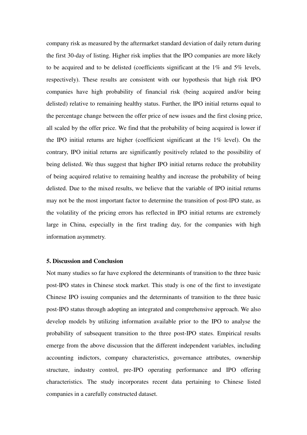company risk as measured by the aftermarket standard deviation of daily return during the first 30-day of listing. Higher risk implies that the IPO companies are more likely to be acquired and to be delisted (coefficients significant at the 1% and 5% levels, respectively). These results are consistent with our hypothesis that high risk IPO companies have high probability of financial risk (being acquired and/or being delisted) relative to remaining healthy status. Further, the IPO initial returns equal to the percentage change between the offer price of new issues and the first closing price, all scaled by the offer price. We find that the probability of being acquired is lower if the IPO initial returns are higher (coefficient significant at the 1% level). On the contrary, IPO initial returns are significantly positively related to the possibility of being delisted. We thus suggest that higher IPO initial returns reduce the probability of being acquired relative to remaining healthy and increase the probability of being delisted. Due to the mixed results, we believe that the variable of IPO initial returns may not be the most important factor to determine the transition of post-IPO state, as the volatility of the pricing errors has reflected in IPO initial returns are extremely large in China, especially in the first trading day, for the companies with high information asymmetry.

#### **5. Discussion and Conclusion**

Not many studies so far have explored the determinants of transition to the three basic post-IPO states in Chinese stock market. This study is one of the first to investigate Chinese IPO issuing companies and the determinants of transition to the three basic post-IPO status through adopting an integrated and comprehensive approach. We also develop models by utilizing information available prior to the IPO to analyse the probability of subsequent transition to the three post-IPO states. Empirical results emerge from the above discussion that the different independent variables, including accounting indictors, company characteristics, governance attributes, ownership structure, industry control, pre-IPO operating performance and IPO offering characteristics. The study incorporates recent data pertaining to Chinese listed companies in a carefully constructed dataset.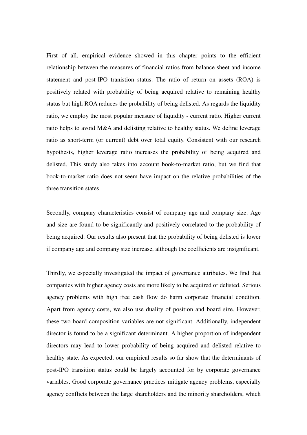First of all, empirical evidence showed in this chapter points to the efficient relationship between the measures of financial ratios from balance sheet and income statement and post-IPO tranistion status. The ratio of return on assets (ROA) is positively related with probability of being acquired relative to remaining healthy status but high ROA reduces the probability of being delisted. As regards the liquidity ratio, we employ the most popular measure of liquidity - current ratio. Higher current ratio helps to avoid M&A and delisting relative to healthy status. We define leverage ratio as short-term (or current) debt over total equity. Consistent with our research hypothesis, higher leverage ratio increases the probability of being acquired and delisted. This study also takes into account book-to-market ratio, but we find that book-to-market ratio does not seem have impact on the relative probabilities of the three transition states.

Secondly, company characteristics consist of company age and company size. Age and size are found to be significantly and positively correlated to the probability of being acquired. Our results also present that the probability of being delisted is lower if company age and company size increase, although the coefficients are insignificant.

Thirdly, we especially investigated the impact of governance attributes. We find that companies with higher agency costs are more likely to be acquired or delisted. Serious agency problems with high free cash flow do harm corporate financial condition. Apart from agency costs, we also use duality of position and board size. However, these two board composition variables are not significant. Additionally, independent director is found to be a significant determinant. A higher proportion of independent directors may lead to lower probability of being acquired and delisted relative to healthy state. As expected, our empirical results so far show that the determinants of post-IPO transition status could be largely accounted for by corporate governance variables. Good corporate governance practices mitigate agency problems, especially agency conflicts between the large shareholders and the minority shareholders, which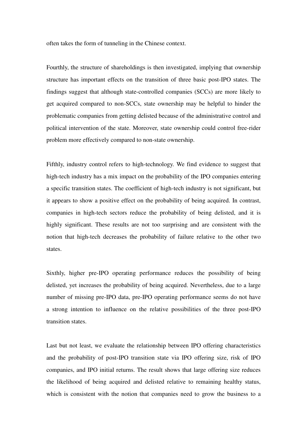often takes the form of tunneling in the Chinese context.

Fourthly, the structure of shareholdings is then investigated, implying that ownership structure has important effects on the transition of three basic post-IPO states. The findings suggest that although state-controlled companies (SCCs) are more likely to get acquired compared to non-SCCs, state ownership may be helpful to hinder the problematic companies from getting delisted because of the administrative control and political intervention of the state. Moreover, state ownership could control free-rider problem more effectively compared to non-state ownership.

Fifthly, industry control refers to high-technology. We find evidence to suggest that high-tech industry has a mix impact on the probability of the IPO companies entering a specific transition states. The coefficient of high-tech industry is not significant, but it appears to show a positive effect on the probability of being acquired. In contrast, companies in high-tech sectors reduce the probability of being delisted, and it is highly significant. These results are not too surprising and are consistent with the notion that high-tech decreases the probability of failure relative to the other two states.

Sixthly, higher pre-IPO operating performance reduces the possibility of being delisted, yet increases the probability of being acquired. Nevertheless, due to a large number of missing pre-IPO data, pre-IPO operating performance seems do not have a strong intention to influence on the relative possibilities of the three post-IPO transition states.

Last but not least, we evaluate the relationship between IPO offering characteristics and the probability of post-IPO transition state via IPO offering size, risk of IPO companies, and IPO initial returns. The result shows that large offering size reduces the likelihood of being acquired and delisted relative to remaining healthy status, which is consistent with the notion that companies need to grow the business to a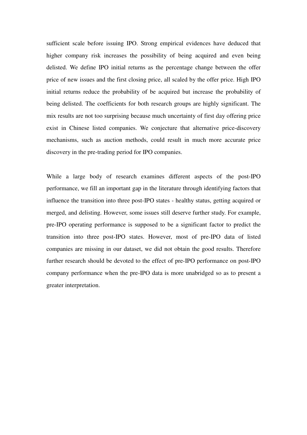sufficient scale before issuing IPO. Strong empirical evidences have deduced that higher company risk increases the possibility of being acquired and even being delisted. We define IPO initial returns as the percentage change between the offer price of new issues and the first closing price, all scaled by the offer price. High IPO initial returns reduce the probability of be acquired but increase the probability of being delisted. The coefficients for both research groups are highly significant. The mix results are not too surprising because much uncertainty of first day offering price exist in Chinese listed companies. We conjecture that alternative price-discovery mechanisms, such as auction methods, could result in much more accurate price discovery in the pre-trading period for IPO companies.

While a large body of research examines different aspects of the post-IPO performance, we fill an important gap in the literature through identifying factors that influence the transition into three post-IPO states - healthy status, getting acquired or merged, and delisting. However, some issues still deserve further study. For example, pre-IPO operating performance is supposed to be a significant factor to predict the transition into three post-IPO states. However, most of pre-IPO data of listed companies are missing in our dataset, we did not obtain the good results. Therefore further research should be devoted to the effect of pre-IPO performance on post-IPO company performance when the pre-IPO data is more unabridged so as to present a greater interpretation.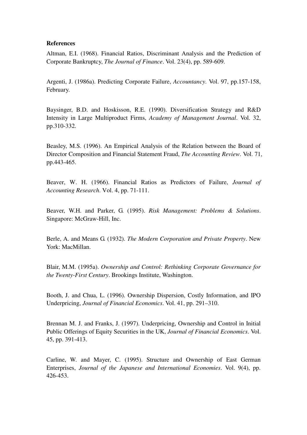## **References**

Altman, E.I. (1968). Financial Ratios, Discriminant Analysis and the Prediction of Corporate Bankruptcy, *The Journal of Finance*. Vol. 23(4), pp. 589-609.

Argenti, J. (1986a). Predicting Corporate Failure, *Accountancy*. Vol. 97, pp.157-158, February.

Baysinger, B.D. and Hoskisson, R.E. (1990). Diversification Strategy and R&D Intensity in Large Multiproduct Firms, *Academy of Management Journal*. Vol. 32, pp.310-332.

Beasley, M.S. (1996). An Empirical Analysis of the Relation between the Board of Director Composition and Financial Statement Fraud, *The Accounting Review*. Vol. 71, pp.443-465.

Beaver, W. H. (1966). Financial Ratios as Predictors of Failure, *Journal of Accounting Research*. Vol. 4, pp. 71-111.

Beaver, W.H. and Parker, G. (1995). *Risk Management: Problems & Solutions*. Singapore: McGraw-Hill, Inc.

Berle, A. and Means G. (1932). *The Modern Corporation and Private Property*. New York: MacMillan.

Blair, M.M. (1995a). *Ownership and Control: Rethinking Corporate Governance for the Twenty-First Century*. Brookings Institute, Washington.

Booth, J. and Chua, L. (1996). Ownership Dispersion, Costly Information, and IPO Underpricing, *Journal of Financial Economics*. Vol. 41, pp. 291–310.

Brennan M. J. and Franks, J. (1997). Underpricing, Ownership and Control in Initial Public Offerings of Equity Securities in the UK, *Journal of Financial Economics*. Vol. 45, pp. 391-413.

Carline, W. and Mayer, C. (1995). Structure and Ownership of East German Enterprises, *Journal of the Japanese and International Economies*. Vol. 9(4), pp. 426-453.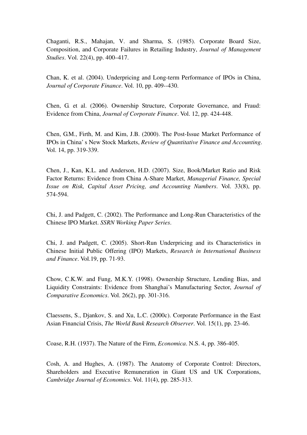Chaganti, R.S., Mahajan, V. and Sharma, S. (1985). Corporate Board Size, Composition, and Corporate Failures in Retailing Industry, *Journal of Management Studies*. Vol. 22(4), pp. 400–417.

Chan, K. et al. (2004). Underpricing and Long-term Performance of IPOs in China, *Journal of Corporate Finance*. Vol. 10, pp. 409--430.

Chen, G. et al. (2006). Ownership Structure, Corporate Governance, and Fraud: Evidence from China, *Journal of Corporate Finance*. Vol. 12, pp. 424-448.

Chen, G.M., Firth, M. and Kim, J.B. (2000). The Post-Issue Market Performance of IPOs in China' s New Stock Markets, *Review of Quantitative Finance and Accounting*. Vol. 14, pp. 319-339.

Chen, J., Kan, K.L. and Anderson, H.D. (2007). Size, Book/Market Ratio and Risk Factor Returns: Evidence from China A-Share Market, *Managerial Finance, Special Issue on Risk, Capital Asset Pricing, and Accounting Numbers*. Vol. 33(8), pp. 574-594.

Chi, J. and Padgett, C. (2002). The Performance and Long-Run Characteristics of the Chinese IPO Market. *SSRN Working Paper Series*.

Chi, J. and Padgett, C. (2005). Short-Run Underpricing and its Characteristics in Chinese Initial Public Offering (IPO) Markets, *Research in International Business and Finance*. Vol.19, pp. 71-93.

Chow, C.K.W. and Fung, M.K.Y. (1998). Ownership Structure, Lending Bias, and Liquidity Constraints: Evidence from Shanghai's Manufacturing Sector, *Journal of Comparative Economics*. Vol. 26(2), pp. 301-316.

Claessens, S., Djankov, S. and Xu, L.C. (2000c). Corporate Performance in the East Asian Financial Crisis, *The World Bank Research Observer*. Vol. 15(1), pp. 23-46.

Coase, R.H. (1937). The Nature of the Firm, *Economica*. N.S. 4, pp. 386-405.

Cosh, A. and Hughes, A. (1987). The Anatomy of Corporate Control: Directors, Shareholders and Executive Remuneration in Giant US and UK Corporations, *Cambridge Journal of Economics*. Vol. 11(4), pp. 285-313.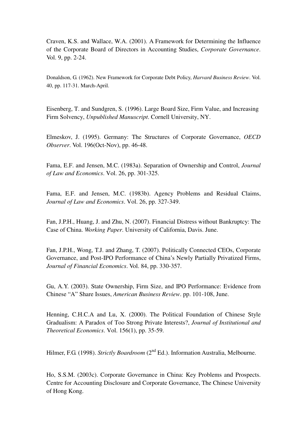Craven, K.S. and Wallace, W.A. (2001). A Framework for Determining the Influence of the Corporate Board of Directors in Accounting Studies, *Corporate Governance*. Vol. 9, pp. 2-24.

Donaldson, G. (1962). New Framework for Corporate Debt Policy, *Harvard Business Review*. Vol. 40, pp. 117-31. March-April.

Eisenberg, T. and Sundgren, S. (1996). Large Board Size, Firm Value, and Increasing Firm Solvency, *Unpublished Manuscript*. Cornell University, NY.

Elmeskov, J. (1995). Germany: The Structures of Corporate Governance, *OECD Observer*. Vol. 196(Oct-Nov), pp. 46-48.

Fama, E.F. and Jensen, M.C. (1983a). Separation of Ownership and Control, *Journal of Law and Economics*. Vol. 26, pp. 301-325.

Fama, E.F. and Jensen, M.C. (1983b). Agency Problems and Residual Claims, *Journal of Law and Economics*. Vol. 26, pp. 327-349.

Fan, J.P.H., Huang, J. and Zhu, N. (2007). Financial Distress without Bankruptcy: The Case of China. *Working Paper*. University of California, Davis. June.

Fan, J.P.H., Wong, T.J. and Zhang, T. (2007). Politically Connected CEOs, Corporate Governance, and Post-IPO Performance of China's Newly Partially Privatized Firms, *Journal of Financial Economics*. Vol. 84, pp. 330-357.

Gu, A.Y. (2003). State Ownership, Firm Size, and IPO Performance: Evidence from Chinese "A" Share Issues, *American Business Review*. pp. 101-108, June.

Henning, C.H.C.A and Lu, X. (2000). The Political Foundation of Chinese Style Gradualism: A Paradox of Too Strong Private Interests?, *Journal of Institutional and Theoretical Economics*. Vol. 156(1), pp. 35-59.

Hilmer, F.G. (1998). *Strictly Boardroom* (2<sup>nd</sup> Ed.). Information Australia, Melbourne.

Ho, S.S.M. (2003c). Corporate Governance in China: Key Problems and Prospects. Centre for Accounting Disclosure and Corporate Governance, The Chinese University of Hong Kong.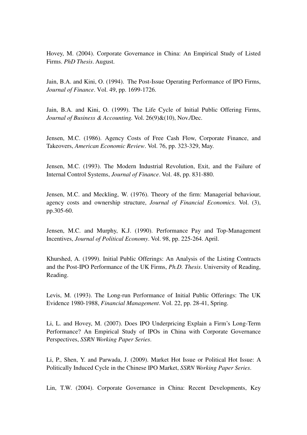Hovey, M. (2004). Corporate Governance in China: An Empirical Study of Listed Firms. *PhD Thesis*. August.

Jain, B.A. and Kini, O. (1994). The Post-Issue Operating Performance of IPO Firms, *Journal of Finance*. Vol. 49, pp. 1699-1726.

Jain, B.A. and Kini, O. (1999). The Life Cycle of Initial Public Offering Firms, *Journal of Business & Accounting.* Vol. 26(9)&(10), Nov./Dec.

Jensen, M.C. (1986). Agency Costs of Free Cash Flow, Corporate Finance, and Takeovers, *American Economic Review*. Vol. 76, pp. 323-329, May.

Jensen, M.C. (1993). The Modern Industrial Revolution, Exit, and the Failure of Internal Control Systems, *Journal of Finance*. Vol. 48, pp. 831-880.

Jensen, M.C. and Meckling, W. (1976). Theory of the firm: Managerial behaviour, agency costs and ownership structure, *Journal of Financial Economics*. Vol. (3), pp.305-60.

Jensen, M.C. and Murphy, K.J. (1990). Performance Pay and Top-Management Incentives, *Journal of Political Economy*. Vol. 98, pp. 225-264. April.

Khurshed, A. (1999). Initial Public Offerings: An Analysis of the Listing Contracts and the Post-IPO Performance of the UK Firms, *Ph.D. Thesis*. University of Reading, Reading.

Levis, M. (1993). The Long-run Performance of Initial Public Offerings: The UK Evidence 1980-1988, *Financial Management*. Vol. 22, pp. 28-41, Spring.

Li, L. and Hovey, M. (2007). Does IPO Underpricing Explain a Firm's Long-Term Performance? An Empirical Study of IPOs in China with Corporate Governance Perspectives, *SSRN Working Paper Series*.

Li, P., Shen, Y. and Parwada, J. (2009). Market Hot Issue or Political Hot Issue: A Politically Induced Cycle in the Chinese IPO Market, *SSRN Working Paper Series*.

Lin, T.W. (2004). Corporate Governance in China: Recent Developments, Key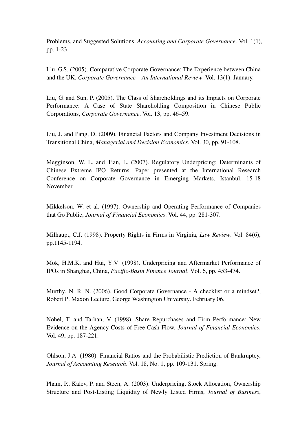Problems, and Suggested Solutions, *Accounting and Corporate Governance*. Vol. 1(1), pp. 1-23.

Liu, G.S. (2005). Comparative Corporate Governance: The Experience between China and the UK, *Corporate Governance – An International Review*. Vol. 13(1). January.

Liu, G. and Sun, P. (2005). The Class of Shareholdings and its Impacts on Corporate Performance: A Case of State Shareholding Composition in Chinese Public Corporations, *Corporate Governance*. Vol. 13, pp. 46–59.

Liu, J. and Pang, D. (2009). Financial Factors and Company Investment Decisions in Transitional China, *Managerial and Decision Economics*. Vol. 30, pp. 91-108.

Megginson, W. L. and Tian, L. (2007). Regulatory Underpricing: Determinants of Chinese Extreme IPO Returns. Paper presented at the International Research Conference on Corporate Governance in Emerging Markets, Istanbul, 15-18 November.

Mikkelson, W. et al. (1997). Ownership and Operating Performance of Companies that Go Public, *Journal of Financial Economics*. Vol. 44, pp. 281-307.

Milhaupt, C.J. (1998). Property Rights in Firms in Virginia, *Law Review*. Vol. 84(6), pp.1145-1194.

Mok, H.M.K. and Hui, Y.V. (1998). Underpricing and Aftermarket Performance of IPOs in Shanghai, China, *Pacific-Basin Finance Journal*. Vol. 6, pp. 453-474.

Murthy, N. R. N. (2006). Good Corporate Governance - A checklist or a mindset?, Robert P. Maxon Lecture, George Washington University. February 06.

Nohel, T. and Tarhan, V. (1998). Share Repurchases and Firm Performance: New Evidence on the Agency Costs of Free Cash Flow, *Journal of Financial Economics*. Vol. 49, pp. 187-221.

Ohlson, J.A. (1980). Financial Ratios and the Probabilistic Prediction of Bankruptcy, *Journal of Accounting Research*. Vol. 18, No. 1, pp. 109-131. Spring.

Pham, P., Kalev, P. and Steen, A. (2003). Underpricing, Stock Allocation, Ownership Structure and Post-Listing Liquidity of Newly Listed Firms, *Journal of Business*,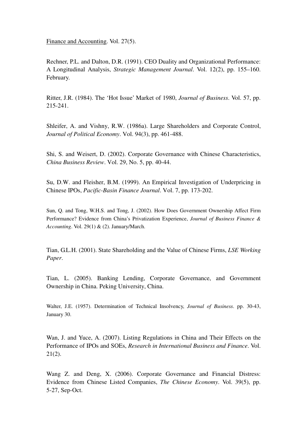Finance and Accounting. Vol. 27(5).

Rechner, P.L. and Dalton, D.R. (1991). CEO Duality and Organizational Performance: A Longitudinal Analysis, *Strategic Management Journal*. Vol. 12(2), pp. 155–160. February.

Ritter, J.R. (1984). The 'Hot Issue' Market of 1980, *Journal of Business*. Vol. 57, pp. 215-241.

Shleifer, A. and Vishny, R.W. (1986a). Large Shareholders and Corporate Control, *Journal of Political Economy*. Vol. 94(3), pp. 461-488.

Shi, S. and Weisert, D. (2002). Corporate Governance with Chinese Characteristics, *China Business Review*. Vol. 29, No. 5, pp. 40-44.

Su, D.W. and Fleisher, B.M. (1999). An Empirical Investigation of Underpricing in Chinese IPOs, *Pacific-Basin Finance Journal*. Vol. 7, pp. 173-202.

Sun, Q. and Tong, W.H.S. and Tong, J. (2002). How Does Government Ownership Affect Firm Performance? Evidence from China's Privatization Experience, *Journal of Business Finance & Accounting*. Vol. 29(1) & (2). January/March.

Tian, G.L.H. (2001). State Shareholding and the Value of Chinese Firms, *LSE Working Paper*.

Tian, L. (2005). Banking Lending, Corporate Governance, and Government Ownership in China. Peking University, China.

Walter, J.E. (1957). Determination of Technical Insolvency, *Journal of Business*. pp. 30-43, January 30.

Wan, J. and Yuce, A. (2007). Listing Regulations in China and Their Effects on the Performance of IPOs and SOEs, *Research in International Business and Finance*. Vol. 21(2).

Wang Z. and Deng, X. (2006). Corporate Governance and Financial Distress: Evidence from Chinese Listed Companies, *The Chinese Economy*. Vol. 39(5), pp. 5-27, Sep-Oct.